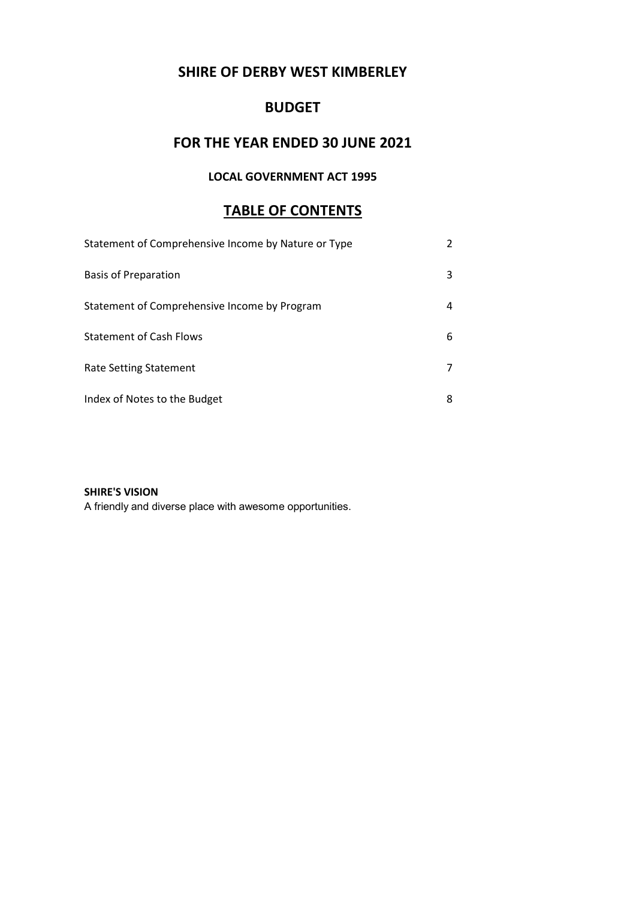# SHIRE OF DERBY WEST KIMBERLEY

# BUDGET

# FOR THE YEAR ENDED 30 JUNE 2021

# LOCAL GOVERNMENT ACT 1995

# TABLE OF CONTENTS

| Statement of Comprehensive Income by Nature or Type |   |
|-----------------------------------------------------|---|
| <b>Basis of Preparation</b>                         | 3 |
| Statement of Comprehensive Income by Program        | 4 |
| <b>Statement of Cash Flows</b>                      | 6 |
| <b>Rate Setting Statement</b>                       |   |
| Index of Notes to the Budget                        | 8 |

# SHIRE'S VISION

A friendly and diverse place with awesome opportunities.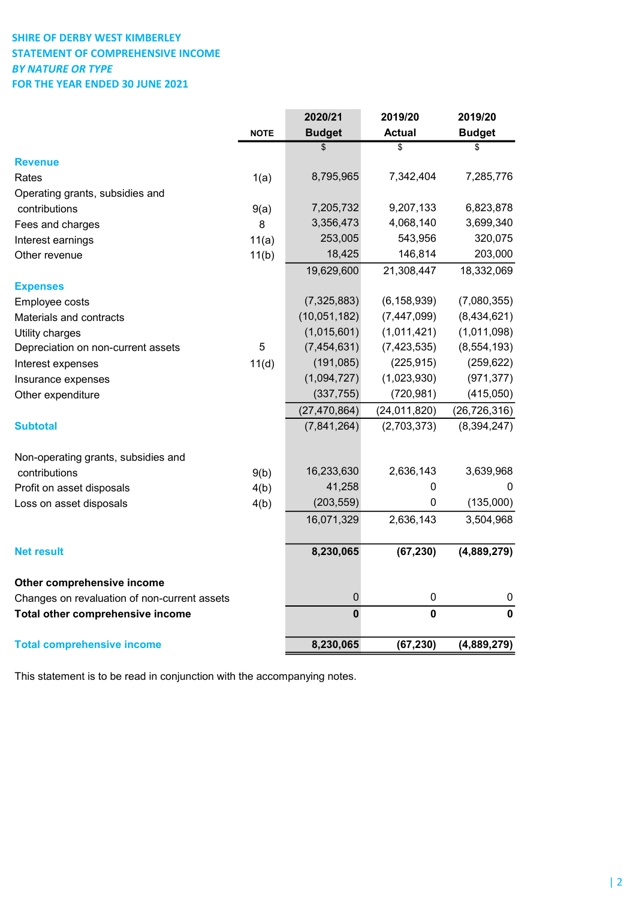# SHIRE OF DERBY WEST KIMBERLEY STATEMENT OF COMPREHENSIVE INCOME BY NATURE OR TYPE FOR THE YEAR ENDED 30 JUNE 2021

|                                                                            |             | 2020/21        | 2019/20        | 2019/20        |
|----------------------------------------------------------------------------|-------------|----------------|----------------|----------------|
|                                                                            | <b>NOTE</b> | <b>Budget</b>  | <b>Actual</b>  | <b>Budget</b>  |
|                                                                            |             | \$             | \$             | \$             |
| <b>Revenue</b>                                                             |             |                |                |                |
| Rates                                                                      | 1(a)        | 8,795,965      | 7,342,404      | 7,285,776      |
| Operating grants, subsidies and                                            |             |                |                |                |
| contributions                                                              | 9(a)        | 7,205,732      | 9,207,133      | 6,823,878      |
| Fees and charges                                                           | 8           | 3,356,473      | 4,068,140      | 3,699,340      |
| Interest earnings                                                          | 11(a)       | 253,005        | 543,956        | 320,075        |
| Other revenue                                                              | 11(b)       | 18,425         | 146,814        | 203,000        |
|                                                                            |             | 19,629,600     | 21,308,447     | 18,332,069     |
| <b>Expenses</b>                                                            |             |                |                |                |
| Employee costs                                                             |             | (7, 325, 883)  | (6, 158, 939)  | (7,080,355)    |
| Materials and contracts                                                    |             | (10,051,182)   | (7, 447, 099)  | (8,434,621)    |
| Utility charges                                                            |             | (1,015,601)    | (1,011,421)    | (1,011,098)    |
| Depreciation on non-current assets                                         | 5           | (7, 454, 631)  | (7, 423, 535)  | (8, 554, 193)  |
| Interest expenses                                                          | 11(d)       | (191, 085)     | (225, 915)     | (259, 622)     |
| Insurance expenses                                                         |             | (1,094,727)    | (1,023,930)    | (971, 377)     |
| Other expenditure                                                          |             | (337, 755)     | (720, 981)     | (415,050)      |
|                                                                            |             | (27, 470, 864) | (24, 011, 820) | (26, 726, 316) |
| <b>Subtotal</b>                                                            |             | (7,841,264)    | (2,703,373)    | (8, 394, 247)  |
| Non-operating grants, subsidies and                                        |             |                |                |                |
| contributions                                                              | 9(b)        | 16,233,630     | 2,636,143      | 3,639,968      |
| Profit on asset disposals                                                  | 4(b)        | 41,258         | 0              | 0              |
| Loss on asset disposals                                                    | 4(b)        | (203, 559)     | 0              | (135,000)      |
|                                                                            |             | 16,071,329     | 2,636,143      | 3,504,968      |
| <b>Net result</b>                                                          |             | 8,230,065      | (67, 230)      | (4,889,279)    |
|                                                                            |             |                |                |                |
| Other comprehensive income<br>Changes on revaluation of non-current assets |             | $\mathbf 0$    | 0              | 0              |
|                                                                            |             | $\mathbf 0$    | $\mathbf 0$    | $\mathbf 0$    |
| Total other comprehensive income                                           |             |                |                |                |
| <b>Total comprehensive income</b>                                          |             | 8,230,065      | (67, 230)      | (4,889,279)    |

This statement is to be read in conjunction with the accompanying notes.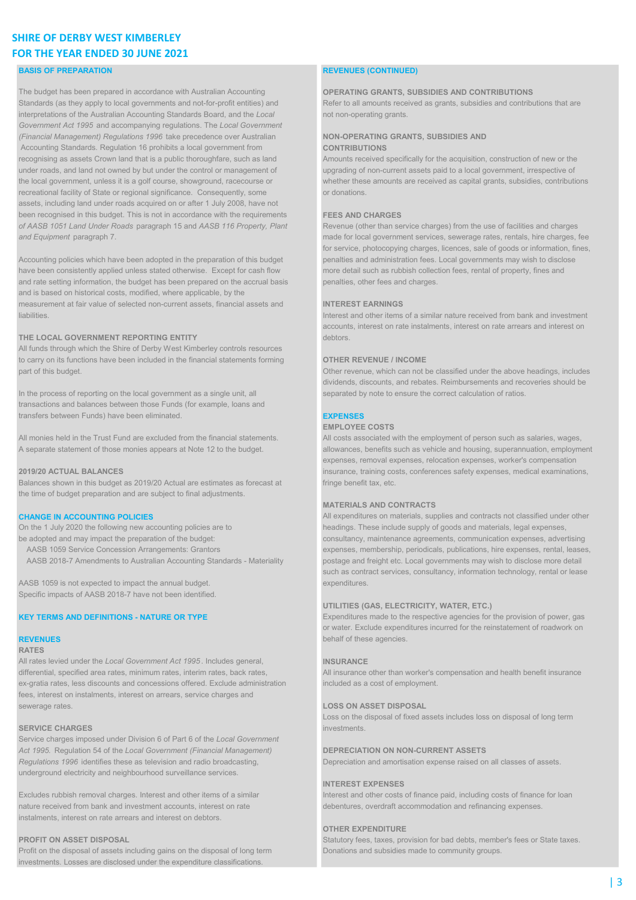# SHIRE OF DERBY WEST KIMBERLEY FOR THE YEAR ENDED 30 JUNE 2021

### BASIS OF PREPARATION **REVENUES (CONTINUED)**

The budget has been prepared in accordance with Australian Accounting **OPERATING GRANTS, SUBSIDIES AND CONTRIBUTIONS** Standards (as they apply to local governments and not-for-profit entities) and Refer to all amounts received as grants, subsidies and contributions that are interpretations of the Australian Accounting Standards Board, and the Local not non-operating grants. Government Act 1995 and accompanying regulations. The Local Government (Financial Management) Regulations 1996 take precedence over Australian NON-OPERATING GRANTS, SUBSIDIES AND Accounting Standards. Regulation 16 prohibits a local government from **CONTRIBUTIONS** recognising as assets Crown land that is a public thoroughfare, such as land Amounts received specifically for the acquisition, construction of new or the under roads, and land not owned by but under the control or management of upgrading of non-current assets paid to a local government, irrespective of the local government, unless it is a golf course, showground, racecourse or whether these amounts are received as capital grants, subsidies, contributions recreational facility of State or regional significance. Consequently, some or donations. assets, including land under roads acquired on or after 1 July 2008, have not been recognised in this budget. This is not in accordance with the requirements FEES AND CHARGES of AASB 1051 Land Under Roads paragraph 15 and AASB 116 Property, Plant Revenue (other than service charges) from the use of facilities and charges

Accounting policies which have been adopted in the preparation of this budget penalties and administration fees. Local governments may wish to disclose have been consistently applied unless stated otherwise. Except for cash flow more detail such as rubbish collection fees, rental of property, fines and and rate setting information, the budget has been prepared on the accrual basis penalties, other fees and charges. and is based on historical costs, modified, where applicable, by the measurement at fair value of selected non-current assets, financial assets and **INTEREST EARNINGS** liabilities. Interest and other items of a similar nature received from bank and investment

### THE LOCAL GOVERNMENT REPORTING ENTITY **THE LOCAL GOVERNMENT REPORTING ENTITY**

All funds through which the Shire of Derby West Kimberley controls resources to carry on its functions have been included in the financial statements forming **OTHER REVENUE / INCOME** part of this budget. **Other revenue, which can not be classified under the above headings**, includes

In the process of reporting on the local government as a single unit, all separated by note to ensure the correct calculation of ratios transactions and balances between those Funds (for example, loans and transfers between Funds) have been eliminated. EXPENSES

All monies held in the Trust Fund are excluded from the financial statements. All costs associated with the employment of person such as salaries, wages,

Balances shown in this budget as 2019/20 Actual are estimates as forecast at fringe benefit tax, etc. the time of budget preparation and are subject to final adjustments.

- 
- 

AASB 1059 is not expected to impact the annual budget. expenditures. Expenditures. Specific impacts of AASB 2018-7 have not been identified.

### RATES

All rates levied under the Local Government Act 1995. Includes general, **INSURANCE** differential, specified area rates, minimum rates, interim rates, back rates, All insurance other than worker's compensation and health benefit insurance ex-gratia rates, less discounts and concessions offered. Exclude administration included as a cost of employment. fees, interest on instalments, interest on arrears, service charges and sewerage rates. LOSS ON ASSET DISPOSAL

### SERVICE CHARGES investments. The contract of the contract of the contract of the contract of the contract of the contract of the contract of the contract of the contract of the contract of the contract of the contract of t

Service charges imposed under Division 6 of Part 6 of the Local Government Act 1995. Regulation 54 of the Local Government (Financial Management) DEPRECIATION ON NON-CURRENT ASSETS Regulations 1996 identifies these as television and radio broadcasting, Depreciation and amortisation expense raised on all classes of assets. underground electricity and neighbourhood surveillance services.

nature received from bank and investment accounts, interest on rate debentures, overdraft accommodation and refinancing expenses. instalments, interest on rate arrears and interest on debtors.

Profit on the disposal of assets including gains on the disposal of long term Donations and subsidies made to community groups. investments. Losses are disclosed under the expenditure classifications.

and Equipment paragraph 7. made for local government services, sewerage rates, rentals, hire charges, fee for service, photocopying charges, licences, sale of goods or information, fines,

accounts, interest on rate instalments, interest on rate arrears and interest on

dividends, discounts, and rebates. Reimbursements and recoveries should be

### EMPLOYEE COSTS

A separate statement of those monies appears at Note 12 to the budget. allowances, benefits such as vehicle and housing, superannuation, employment expenses, removal expenses, relocation expenses, worker's compensation 2019/20 ACTUAL BALANCES insurance, training costs, conferences safety expenses, medical examinations,

### MATERIALS AND CONTRACTS

CHANGE IN ACCOUNTING POLICIES **All expenditures on materials**, supplies and contracts not classified under other On the 1 July 2020 the following new accounting policies are to headings. These include supply of goods and materials, legal expenses, be adopted and may impact the preparation of the budget: consultancy, maintenance agreements, communication expenses, advertising AASB 1059 Service Concession Arrangements: Grantors expenses, membership, periodicals, publications, hire expenses, rental, leases, AASB 2018-7 Amendments to Australian Accounting Standards - Materiality postage and freight etc. Local governments may wish to disclose more detail such as contract services, consultancy, information technology, rental or lease

### UTILITIES (GAS, ELECTRICITY, WATER, ETC.)

KEY TERMS AND DEFINITIONS - NATURE OR TYPE Expenditures made to the respective agencies for the provision of power, gas or water. Exclude expenditures incurred for the reinstatement of roadwork on **REVENUES** behalf of these agencies. The set of these agencies. The set of these agencies. The set of these agencies

Loss on the disposal of fixed assets includes loss on disposal of long term

### INTEREST EXPENSES

Excludes rubbish removal charges. Interest and other items of a similar Interest and other costs of finance paid, including costs of finance for loan

### OTHER EXPENDITURE

**PROFIT ON ASSET DISPOSAL** Statutory fees, taxes, provision for bad debts, member's fees or State taxes.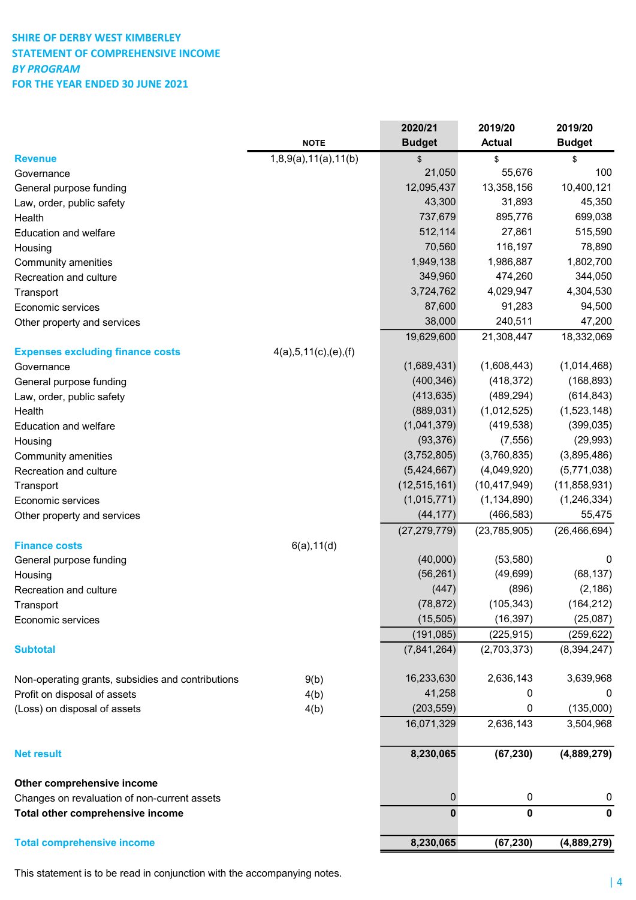# SHIRE OF DERBY WEST KIMBERLEY STATEMENT OF COMPREHENSIVE INCOME BY PROGRAM FOR THE YEAR ENDED 30 JUNE 2021

|                                                   |                          | 2020/21        | 2019/20        | 2019/20        |
|---------------------------------------------------|--------------------------|----------------|----------------|----------------|
|                                                   | <b>NOTE</b>              | <b>Budget</b>  | <b>Actual</b>  | <b>Budget</b>  |
| <b>Revenue</b>                                    | 1,8,9(a),11(a),11(b)     | \$             | \$             | \$             |
| Governance                                        |                          | 21,050         | 55,676         | 100            |
| General purpose funding                           |                          | 12,095,437     | 13,358,156     | 10,400,121     |
| Law, order, public safety                         |                          | 43,300         | 31,893         | 45,350         |
| Health                                            |                          | 737,679        | 895,776        | 699,038        |
| <b>Education and welfare</b>                      |                          | 512,114        | 27,861         | 515,590        |
| Housing                                           |                          | 70,560         | 116,197        | 78,890         |
| Community amenities                               |                          | 1,949,138      | 1,986,887      | 1,802,700      |
| Recreation and culture                            |                          | 349,960        | 474,260        | 344,050        |
| Transport                                         |                          | 3,724,762      | 4,029,947      | 4,304,530      |
| Economic services                                 |                          | 87,600         | 91,283         | 94,500         |
| Other property and services                       |                          | 38,000         | 240,511        | 47,200         |
|                                                   |                          | 19,629,600     | 21,308,447     | 18,332,069     |
| <b>Expenses excluding finance costs</b>           | 4(a), 5, 11(c), (e), (f) |                |                |                |
| Governance                                        |                          | (1,689,431)    | (1,608,443)    | (1,014,468)    |
| General purpose funding                           |                          | (400, 346)     | (418, 372)     | (168, 893)     |
| Law, order, public safety                         |                          | (413, 635)     | (489, 294)     | (614, 843)     |
| Health                                            |                          | (889, 031)     | (1,012,525)    | (1,523,148)    |
| <b>Education and welfare</b>                      |                          | (1,041,379)    | (419, 538)     | (399, 035)     |
| Housing                                           |                          | (93, 376)      | (7, 556)       | (29, 993)      |
| Community amenities                               |                          | (3,752,805)    | (3,760,835)    | (3,895,486)    |
| Recreation and culture                            |                          | (5,424,667)    | (4,049,920)    | (5,771,038)    |
| Transport                                         |                          | (12, 515, 161) | (10, 417, 949) | (11,858,931)   |
| Economic services                                 |                          | (1,015,771)    | (1, 134, 890)  | (1, 246, 334)  |
| Other property and services                       |                          | (44, 177)      | (466, 583)     | 55,475         |
|                                                   |                          | (27, 279, 779) | (23, 785, 905) | (26, 466, 694) |
| <b>Finance costs</b>                              | 6(a), 11(d)              |                |                |                |
| General purpose funding                           |                          | (40,000)       | (53, 580)      | 0              |
| Housing                                           |                          | (56, 261)      | (49, 699)      | (68, 137)      |
| Recreation and culture                            |                          | (447)          | (896)          | (2, 186)       |
| Transport                                         |                          | (78, 872)      | (105, 343)     | (164, 212)     |
| Economic services                                 |                          | (15, 505)      | (16, 397)      | (25,087)       |
|                                                   |                          | (191, 085)     | (225, 915)     | (259, 622)     |
| <b>Subtotal</b>                                   |                          | (7,841,264)    | (2,703,373)    | (8, 394, 247)  |
|                                                   |                          |                |                |                |
| Non-operating grants, subsidies and contributions | 9(b)                     | 16,233,630     | 2,636,143      | 3,639,968      |
| Profit on disposal of assets                      | 4(b)                     | 41,258         | 0              | 0              |
| (Loss) on disposal of assets                      | 4(b)                     | (203, 559)     | 0              | (135,000)      |
|                                                   |                          | 16,071,329     | 2,636,143      | 3,504,968      |
|                                                   |                          |                |                |                |
| <b>Net result</b>                                 |                          | 8,230,065      | (67, 230)      | (4,889,279)    |
|                                                   |                          |                |                |                |
| Other comprehensive income                        |                          |                |                |                |
| Changes on revaluation of non-current assets      |                          | $\pmb{0}$      | $\pmb{0}$      | 0              |
| Total other comprehensive income                  |                          | $\mathbf 0$    | 0              | $\mathbf 0$    |
|                                                   |                          |                |                |                |
| <b>Total comprehensive income</b>                 |                          | 8,230,065      | (67, 230)      | (4,889,279)    |

This statement is to be read in conjunction with the accompanying notes.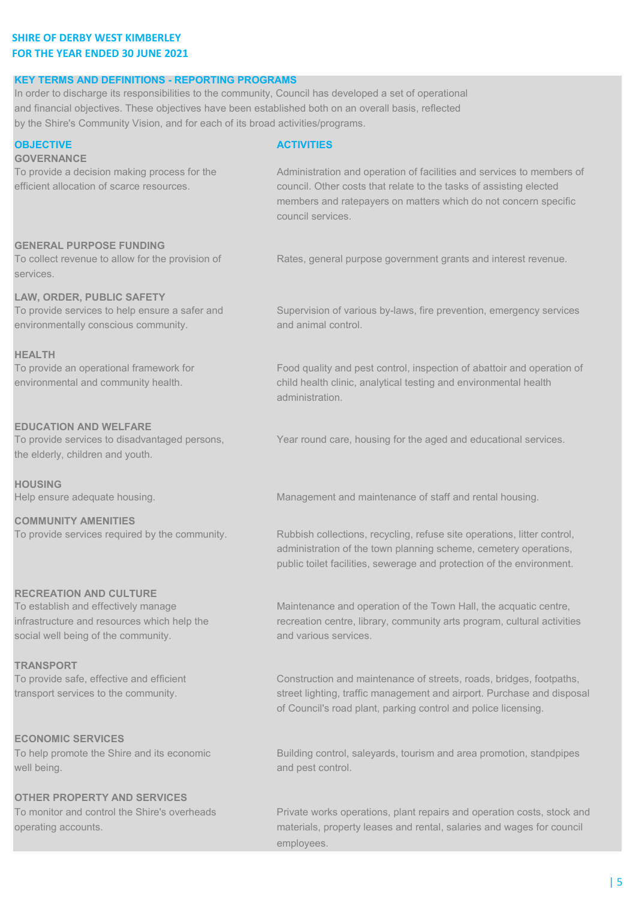# SHIRE OF DERBY WEST KIMBERLEY FOR THE YEAR ENDED 30 JUNE 2021

## KEY TERMS AND DEFINITIONS - REPORTING PROGRAMS

In order to discharge its responsibilities to the community, Council has developed a set of operational and financial objectives. These objectives have been established both on an overall basis, reflected by the Shire's Community Vision, and for each of its broad activities/programs.

# OBJECTIVE ACTIVITIES **GOVERNANCE** To provide a decision making process for the Administration and operation of facilities and services to members of efficient allocation of scarce resources. council. Other costs that relate to the tasks of assisting elected members and ratepayers on matters which do not concern specific council services. GENERAL PURPOSE FUNDING To collect revenue to allow for the provision of Rates, general purpose government grants and interest revenue. services. LAW, ORDER, PUBLIC SAFETY To provide services to help ensure a safer and Supervision of various by-laws, fire prevention, emergency services environmentally conscious community. **All and animal control.** HEALTH To provide an operational framework for Food quality and pest control, inspection of abattoir and operation of environmental and community health. child health clinic, analytical testing and environmental health administration. EDUCATION AND WELFARE To provide services to disadvantaged persons, Year round care, housing for the aged and educational services. the elderly, children and youth. **HOUSING** Help ensure adequate housing. Management and maintenance of staff and rental housing. COMMUNITY AMENITIES

# RECREATION AND CULTURE

social well being of the community. And various services.

## TRANSPORT

# ECONOMIC SERVICES

well being. **and pest control.** And pest control.

# OTHER PROPERTY AND SERVICES

To provide services required by the community. Rubbish collections, recycling, refuse site operations, litter control, administration of the town planning scheme, cemetery operations, public toilet facilities, sewerage and protection of the environment.

To establish and effectively manage Maintenance and operation of the Town Hall, the acquatic centre, infrastructure and resources which help the recreation centre, library, community arts program, cultural activities

To provide safe, effective and efficient Construction and maintenance of streets, roads, bridges, footpaths, transport services to the community. street lighting, traffic management and airport. Purchase and disposal of Council's road plant, parking control and police licensing.

To help promote the Shire and its economic Building control, saleyards, tourism and area promotion, standpipes

To monitor and control the Shire's overheads Private works operations, plant repairs and operation costs, stock and operating accounts. materials, property leases and rental, salaries and wages for council employees.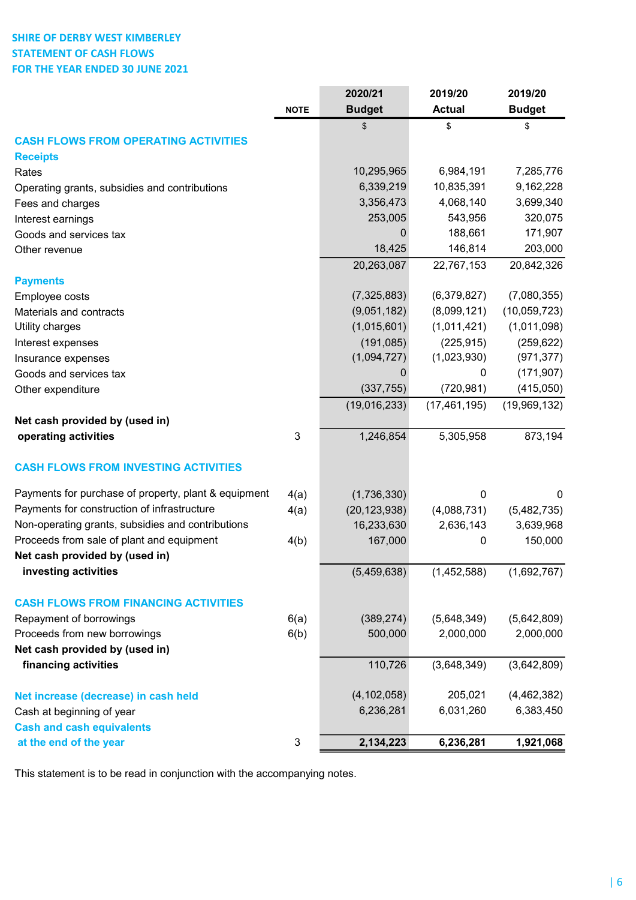# SHIRE OF DERBY WEST KIMBERLEY STATEMENT OF CASH FLOWS FOR THE YEAR ENDED 30 JUNE 2021

|                                                      |             | 2020/21              | 2019/20               | 2019/20               |
|------------------------------------------------------|-------------|----------------------|-----------------------|-----------------------|
|                                                      | <b>NOTE</b> | <b>Budget</b>        | <b>Actual</b>         | <b>Budget</b>         |
|                                                      |             | \$                   | \$                    | \$                    |
| <b>CASH FLOWS FROM OPERATING ACTIVITIES</b>          |             |                      |                       |                       |
| <b>Receipts</b>                                      |             |                      |                       |                       |
| Rates                                                |             | 10,295,965           | 6,984,191             | 7,285,776             |
| Operating grants, subsidies and contributions        |             | 6,339,219            | 10,835,391            | 9,162,228             |
| Fees and charges                                     |             | 3,356,473            | 4,068,140             | 3,699,340             |
| Interest earnings                                    |             | 253,005              | 543,956               | 320,075               |
| Goods and services tax                               |             | $\mathbf 0$          | 188,661               | 171,907               |
| Other revenue                                        |             | 18,425<br>20,263,087 | 146,814<br>22,767,153 | 203,000<br>20,842,326 |
| <b>Payments</b>                                      |             |                      |                       |                       |
| Employee costs                                       |             | (7,325,883)          | (6,379,827)           | (7,080,355)           |
| Materials and contracts                              |             | (9,051,182)          | (8,099,121)           | (10,059,723)          |
| Utility charges                                      |             | (1,015,601)          | (1,011,421)           | (1,011,098)           |
| Interest expenses                                    |             | (191, 085)           | (225, 915)            | (259, 622)            |
| Insurance expenses                                   |             | (1,094,727)          | (1,023,930)           | (971, 377)            |
| Goods and services tax                               |             | 0                    | 0                     | (171, 907)            |
| Other expenditure                                    |             | (337, 755)           | (720, 981)            | (415,050)             |
|                                                      |             | (19,016,233)         | (17, 461, 195)        | (19,969,132)          |
| Net cash provided by (used in)                       |             |                      |                       |                       |
| operating activities                                 | 3           | 1,246,854            | 5,305,958             | 873,194               |
| <b>CASH FLOWS FROM INVESTING ACTIVITIES</b>          |             |                      |                       |                       |
| Payments for purchase of property, plant & equipment | 4(a)        | (1,736,330)          | 0                     | 0                     |
| Payments for construction of infrastructure          | 4(a)        | (20, 123, 938)       | (4,088,731)           | (5,482,735)           |
| Non-operating grants, subsidies and contributions    |             | 16,233,630           | 2,636,143             | 3,639,968             |
| Proceeds from sale of plant and equipment            | 4(b)        | 167,000              | 0                     | 150,000               |
| Net cash provided by (used in)                       |             |                      |                       |                       |
| investing activities                                 |             | (5,459,638)          | (1,452,588)           | (1,692,767)           |
| <b>CASH FLOWS FROM FINANCING ACTIVITIES</b>          |             |                      |                       |                       |
| Repayment of borrowings                              | 6(a)        | (389, 274)           | (5,648,349)           | (5,642,809)           |
| Proceeds from new borrowings                         | 6(b)        | 500,000              | 2,000,000             | 2,000,000             |
| Net cash provided by (used in)                       |             |                      |                       |                       |
| financing activities                                 |             | 110,726              | (3,648,349)           | (3,642,809)           |
|                                                      |             | (4, 102, 058)        | 205,021               | (4, 462, 382)         |
| Net increase (decrease) in cash held                 |             | 6,236,281            | 6,031,260             |                       |
| Cash at beginning of year                            |             |                      |                       | 6,383,450             |
| <b>Cash and cash equivalents</b>                     |             |                      |                       |                       |
| at the end of the year                               | 3           | 2,134,223            | 6,236,281             | 1,921,068             |

This statement is to be read in conjunction with the accompanying notes.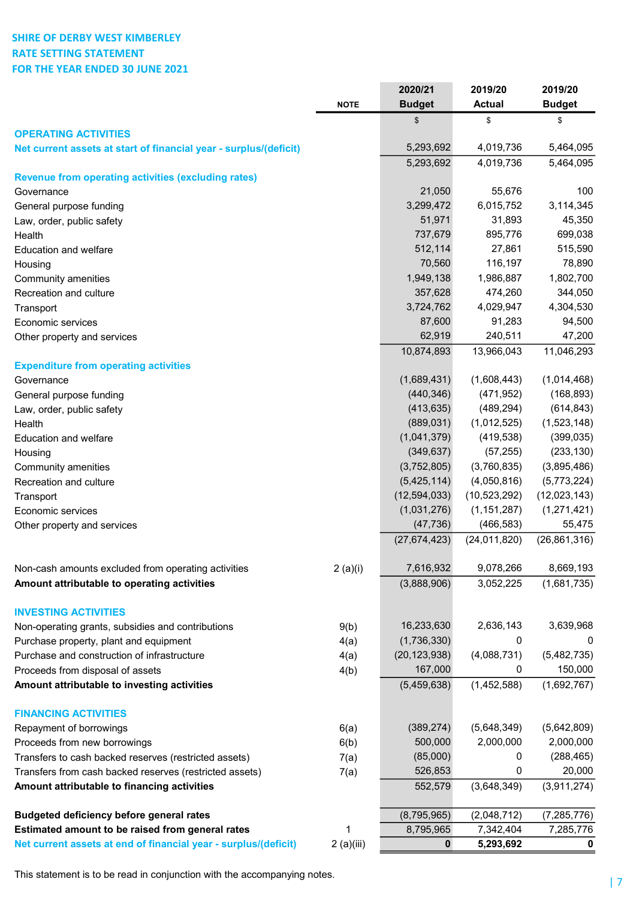# SHIRE OF DERBY WEST KIMBERLEY RATE SETTING STATEMENT FOR THE YEAR ENDED 30 JUNE 2021

|                                                                   |             | 2020/21        | 2019/20        | 2019/20        |
|-------------------------------------------------------------------|-------------|----------------|----------------|----------------|
|                                                                   | <b>NOTE</b> | <b>Budget</b>  | <b>Actual</b>  | <b>Budget</b>  |
|                                                                   |             | \$             | \$             | \$             |
| <b>OPERATING ACTIVITIES</b>                                       |             |                |                |                |
| Net current assets at start of financial year - surplus/(deficit) |             | 5,293,692      | 4,019,736      | 5,464,095      |
| <b>Revenue from operating activities (excluding rates)</b>        |             | 5,293,692      | 4,019,736      | 5,464,095      |
| Governance                                                        |             | 21,050         | 55,676         | 100            |
| General purpose funding                                           |             | 3,299,472      | 6,015,752      | 3,114,345      |
| Law, order, public safety                                         |             | 51,971         | 31,893         | 45,350         |
| Health                                                            |             | 737,679        | 895,776        | 699,038        |
| <b>Education and welfare</b>                                      |             | 512,114        | 27,861         | 515,590        |
| Housing                                                           |             | 70,560         | 116,197        | 78,890         |
| Community amenities                                               |             | 1,949,138      | 1,986,887      | 1,802,700      |
| Recreation and culture                                            |             | 357,628        | 474,260        | 344,050        |
| Transport                                                         |             | 3,724,762      | 4,029,947      | 4,304,530      |
| Economic services                                                 |             | 87,600         | 91,283         | 94,500         |
| Other property and services                                       |             | 62,919         | 240,511        | 47,200         |
|                                                                   |             | 10,874,893     | 13,966,043     | 11,046,293     |
| <b>Expenditure from operating activities</b>                      |             |                |                |                |
| Governance                                                        |             | (1,689,431)    | (1,608,443)    | (1,014,468)    |
| General purpose funding                                           |             | (440, 346)     | (471, 952)     | (168, 893)     |
| Law, order, public safety                                         |             | (413, 635)     | (489, 294)     | (614, 843)     |
| Health                                                            |             | (889, 031)     | (1,012,525)    | (1,523,148)    |
| <b>Education and welfare</b>                                      |             | (1,041,379)    | (419, 538)     | (399, 035)     |
| Housing                                                           |             | (349, 637)     | (57, 255)      | (233, 130)     |
| Community amenities                                               |             | (3,752,805)    | (3,760,835)    | (3,895,486)    |
| Recreation and culture                                            |             | (5,425,114)    | (4,050,816)    | (5,773,224)    |
| Transport                                                         |             | (12, 594, 033) | (10,523,292)   | (12,023,143)   |
| Economic services                                                 |             | (1,031,276)    | (1, 151, 287)  | (1,271,421)    |
| Other property and services                                       |             | (47, 736)      | (466, 583)     | 55,475         |
|                                                                   |             | (27, 674, 423) | (24, 011, 820) | (26, 861, 316) |
| Non-cash amounts excluded from operating activities               |             | 7,616,932      | 9,078,266      | 8,669,193      |
| Amount attributable to operating activities                       | 2(a)(i)     | (3,888,906)    | 3,052,225      | (1,681,735)    |
|                                                                   |             |                |                |                |
| <b>INVESTING ACTIVITIES</b>                                       |             |                |                |                |
| Non-operating grants, subsidies and contributions                 | 9(b)        | 16,233,630     | 2,636,143      | 3,639,968      |
| Purchase property, plant and equipment                            | 4(a)        | (1,736,330)    | 0              | 0              |
| Purchase and construction of infrastructure                       | 4(a)        | (20, 123, 938) | (4,088,731)    | (5,482,735)    |
| Proceeds from disposal of assets                                  | 4(b)        | 167,000        | 0              | 150,000        |
| Amount attributable to investing activities                       |             | (5,459,638)    | (1,452,588)    | (1,692,767)    |
| <b>FINANCING ACTIVITIES</b>                                       |             |                |                |                |
| Repayment of borrowings                                           | 6(a)        | (389, 274)     | (5,648,349)    | (5,642,809)    |
| Proceeds from new borrowings                                      | 6(b)        | 500,000        | 2,000,000      | 2,000,000      |
| Transfers to cash backed reserves (restricted assets)             | 7(a)        | (85,000)       | 0              | (288, 465)     |
| Transfers from cash backed reserves (restricted assets)           | 7(a)        | 526,853        | 0              | 20,000         |
| Amount attributable to financing activities                       |             | 552,579        | (3,648,349)    | (3,911,274)    |
|                                                                   |             |                |                |                |
| <b>Budgeted deficiency before general rates</b>                   |             | (8,795,965)    | (2,048,712)    | (7, 285, 776)  |
| Estimated amount to be raised from general rates                  | 1           | 8,795,965      | 7,342,404      | 7,285,776      |
| Net current assets at end of financial year - surplus/(deficit)   | 2(a)(iii)   | 0              | 5,293,692      | 0              |

This statement is to be read in conjunction with the accompanying notes.<br>
| 7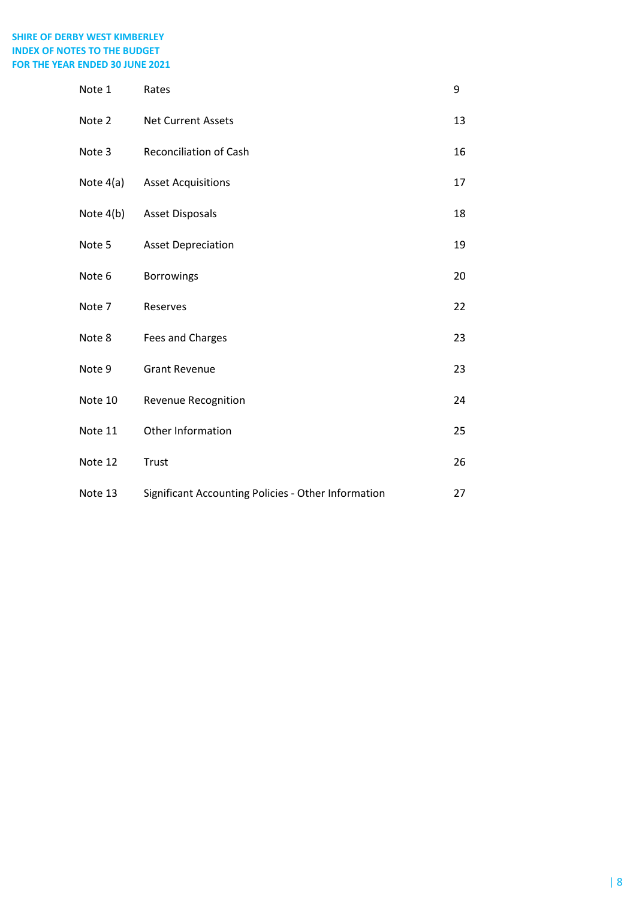# SHIRE OF DERBY WEST KIMBERLEY INDEX OF NOTES TO THE BUDGET FOR THE YEAR ENDED 30 JUNE 2021

| Note 1      | Rates                                               | 9  |
|-------------|-----------------------------------------------------|----|
| Note 2      | <b>Net Current Assets</b>                           | 13 |
| Note 3      | <b>Reconciliation of Cash</b>                       | 16 |
| Note $4(a)$ | <b>Asset Acquisitions</b>                           | 17 |
| Note $4(b)$ | <b>Asset Disposals</b>                              | 18 |
| Note 5      | <b>Asset Depreciation</b>                           | 19 |
| Note 6      | <b>Borrowings</b>                                   | 20 |
| Note 7      | Reserves                                            | 22 |
| Note 8      | Fees and Charges                                    | 23 |
| Note 9      | <b>Grant Revenue</b>                                | 23 |
| Note 10     | <b>Revenue Recognition</b>                          | 24 |
| Note 11     | Other Information                                   | 25 |
| Note 12     | Trust                                               | 26 |
| Note 13     | Significant Accounting Policies - Other Information | 27 |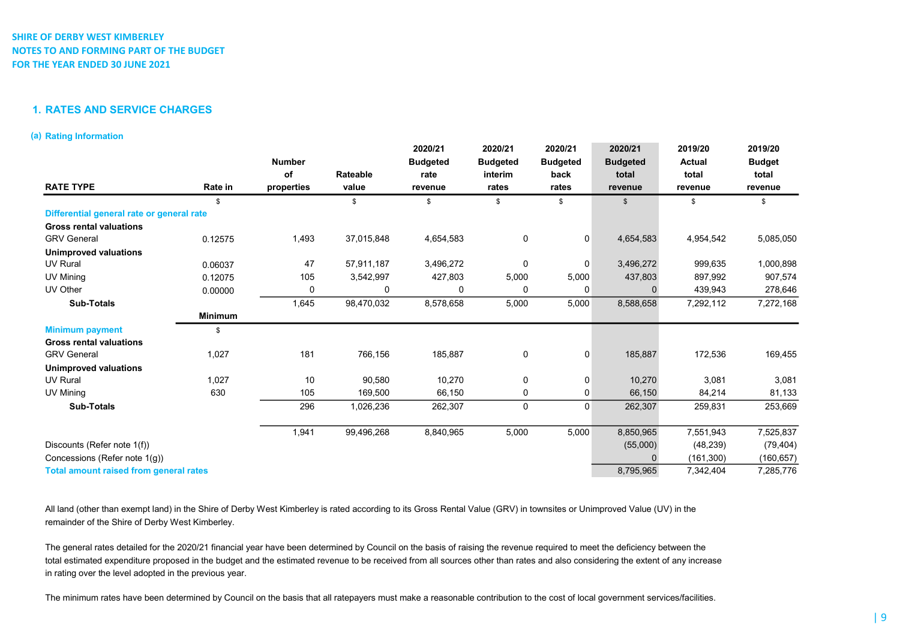## 1. RATES AND SERVICE CHARGES

### (a) Rating Information

|                                               |                | <b>Number</b> |            | 2020/21<br><b>Budgeted</b> | 2020/21<br><b>Budgeted</b> | 2020/21<br><b>Budgeted</b> | 2020/21<br><b>Budgeted</b> | 2019/20<br><b>Actual</b> | 2019/20<br><b>Budget</b> |
|-----------------------------------------------|----------------|---------------|------------|----------------------------|----------------------------|----------------------------|----------------------------|--------------------------|--------------------------|
|                                               |                | оf            | Rateable   | rate                       | interim                    | back                       | total                      | total                    | total                    |
| <b>RATE TYPE</b>                              | Rate in        | properties    | value      | revenue                    | rates                      | rates                      | revenue                    | revenue                  | revenue                  |
|                                               | \$             |               | \$         | \$                         | \$                         | \$                         | \$                         | \$                       | \$                       |
| Differential general rate or general rate     |                |               |            |                            |                            |                            |                            |                          |                          |
| <b>Gross rental valuations</b>                |                |               |            |                            |                            |                            |                            |                          |                          |
| <b>GRV General</b>                            | 0.12575        | 1,493         | 37,015,848 | 4,654,583                  | 0                          | 0                          | 4,654,583                  | 4,954,542                | 5,085,050                |
| <b>Unimproved valuations</b>                  |                |               |            |                            |                            |                            |                            |                          |                          |
| <b>UV Rural</b>                               | 0.06037        | 47            | 57,911,187 | 3,496,272                  | $\mathbf 0$                | $\mathbf 0$                | 3,496,272                  | 999,635                  | 1,000,898                |
| UV Mining                                     | 0.12075        | 105           | 3,542,997  | 427,803                    | 5,000                      | 5,000                      | 437,803                    | 897,992                  | 907,574                  |
| UV Other                                      | 0.00000        | 0             | 0          | 0                          | $\Omega$                   | $\Omega$                   | $\Omega$                   | 439,943                  | 278,646                  |
| <b>Sub-Totals</b>                             |                | 1,645         | 98,470,032 | 8,578,658                  | 5,000                      | 5,000                      | 8,588,658                  | 7,292,112                | 7,272,168                |
|                                               | <b>Minimum</b> |               |            |                            |                            |                            |                            |                          |                          |
| <b>Minimum payment</b>                        | \$             |               |            |                            |                            |                            |                            |                          |                          |
| <b>Gross rental valuations</b>                |                |               |            |                            |                            |                            |                            |                          |                          |
| <b>GRV General</b>                            | 1,027          | 181           | 766,156    | 185,887                    | $\mathbf 0$                | $\mathbf 0$                | 185,887                    | 172,536                  | 169,455                  |
| <b>Unimproved valuations</b>                  |                |               |            |                            |                            |                            |                            |                          |                          |
| <b>UV Rural</b>                               | 1,027          | 10            | 90,580     | 10,270                     | 0                          | 0                          | 10,270                     | 3,081                    | 3,081                    |
| UV Mining                                     | 630            | 105           | 169,500    | 66,150                     | 0                          | 0                          | 66,150                     | 84,214                   | 81,133                   |
| <b>Sub-Totals</b>                             |                | 296           | 1,026,236  | 262,307                    | $\mathbf 0$                | $\mathbf 0$                | 262,307                    | 259,831                  | 253,669                  |
|                                               |                | 1,941         | 99,496,268 | 8,840,965                  | 5,000                      | 5,000                      | 8,850,965                  | 7,551,943                | 7,525,837                |
| Discounts (Refer note 1(f))                   |                |               |            |                            |                            |                            | (55,000)                   | (48, 239)                | (79, 404)                |
| Concessions (Refer note 1(q))                 |                |               |            |                            |                            |                            | $\Omega$                   | (161, 300)               | (160, 657)               |
| <b>Total amount raised from general rates</b> |                |               |            |                            |                            |                            | 8,795,965                  | 7,342,404                | 7,285,776                |

All land (other than exempt land) in the Shire of Derby West Kimberley is rated according to its Gross Rental Value (GRV) in townsites or Unimproved Value (UV) in the remainder of the Shire of Derby West Kimberley.

The general rates detailed for the 2020/21 financial year have been determined by Council on the basis of raising the revenue required to meet the deficiency between the total estimated expenditure proposed in the budget and the estimated revenue to be received from all sources other than rates and also considering the extent of any increase in rating over the level adopted in the previous year.

The minimum rates have been determined by Council on the basis that all ratepayers must make a reasonable contribution to the cost of local government services/facilities.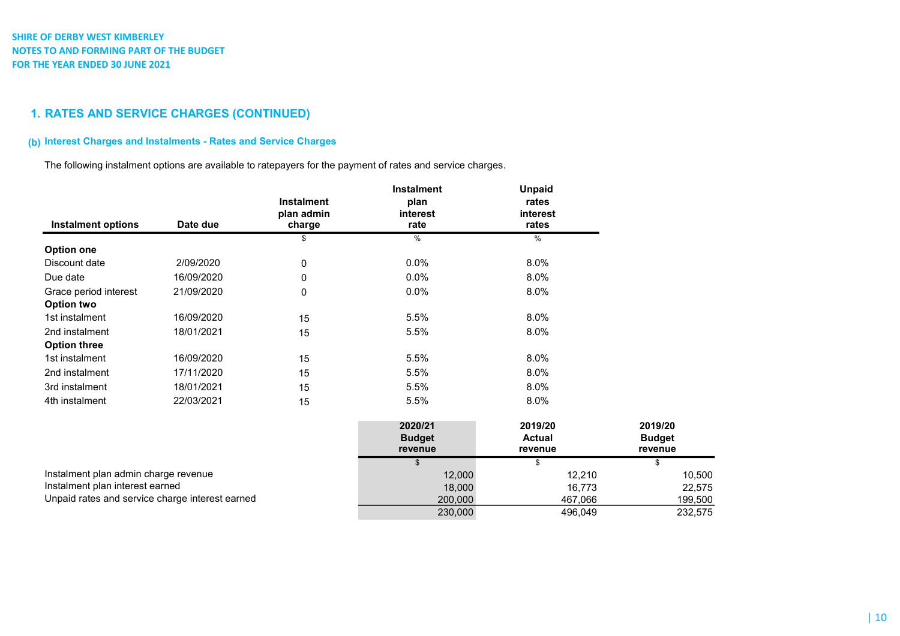# 1. RATES AND SERVICE CHARGES (CONTINUED)

# (b) Interest Charges and Instalments - Rates and Service Charges

The following instalment options are available to ratepayers for the payment of rates and service charges.

| <b>Instalment options</b>                       | Date due   | <b>Instalment</b><br>plan admin<br>charge | <b>Instalment</b><br>plan<br>interest<br>rate | <b>Unpaid</b><br>rates<br>interest<br>rates |                                     |
|-------------------------------------------------|------------|-------------------------------------------|-----------------------------------------------|---------------------------------------------|-------------------------------------|
|                                                 |            | S                                         | %                                             | $\%$                                        |                                     |
| <b>Option one</b>                               |            |                                           |                                               |                                             |                                     |
| Discount date                                   | 2/09/2020  | 0                                         | 0.0%                                          | 8.0%                                        |                                     |
| Due date                                        | 16/09/2020 | 0                                         | 0.0%                                          | 8.0%                                        |                                     |
| Grace period interest                           | 21/09/2020 | 0                                         | 0.0%                                          | 8.0%                                        |                                     |
| Option two                                      |            |                                           |                                               |                                             |                                     |
| 1st instalment                                  | 16/09/2020 | 15                                        | 5.5%                                          | 8.0%                                        |                                     |
| 2nd instalment                                  | 18/01/2021 | 15                                        | 5.5%                                          | 8.0%                                        |                                     |
| <b>Option three</b>                             |            |                                           |                                               |                                             |                                     |
| 1st instalment                                  | 16/09/2020 | 15                                        | 5.5%                                          | 8.0%                                        |                                     |
| 2nd instalment                                  | 17/11/2020 | 15                                        | 5.5%                                          | 8.0%                                        |                                     |
| 3rd instalment                                  | 18/01/2021 | 15                                        | 5.5%                                          | 8.0%                                        |                                     |
| 4th instalment                                  | 22/03/2021 | 15                                        | 5.5%                                          | 8.0%                                        |                                     |
|                                                 |            |                                           | 2020/21<br><b>Budget</b><br>revenue           | 2019/20<br><b>Actual</b><br>revenue         | 2019/20<br><b>Budget</b><br>revenue |
|                                                 |            |                                           | \$                                            | \$                                          | \$                                  |
| Instalment plan admin charge revenue            |            |                                           | 12,000                                        | 12,210                                      | 10,500                              |
| Instalment plan interest earned                 |            |                                           | 18,000                                        | 16,773                                      | 22,575                              |
| Unpaid rates and service charge interest earned |            |                                           | 200,000                                       | 467,066                                     | 199,500                             |
|                                                 |            |                                           | 230,000                                       | 496,049                                     | 232,575                             |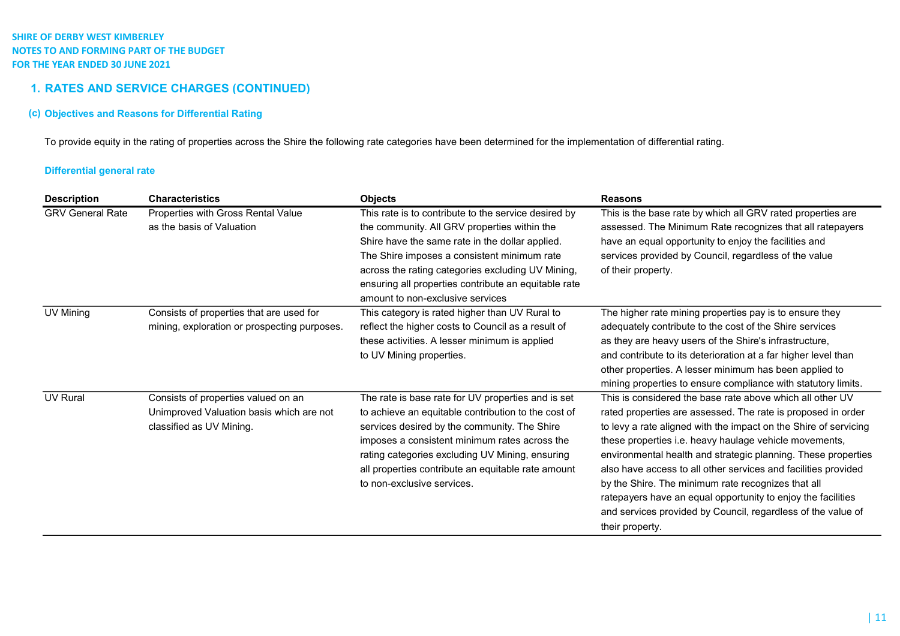# 1. RATES AND SERVICE CHARGES (CONTINUED)

## (c) Objectives and Reasons for Differential Rating

To provide equity in the rating of properties across the Shire the following rate categories have been determined for the implementation of differential rating.

## Differential general rate

| <b>Description</b>      | <b>Characteristics</b>                                                                                      | <b>Objects</b>                                                                                                                                                                                                                                                                                                                                          | <b>Reasons</b>                                                                                                                                                                                                                                                                                                                                                                                                                                                                                                                                                                                      |
|-------------------------|-------------------------------------------------------------------------------------------------------------|---------------------------------------------------------------------------------------------------------------------------------------------------------------------------------------------------------------------------------------------------------------------------------------------------------------------------------------------------------|-----------------------------------------------------------------------------------------------------------------------------------------------------------------------------------------------------------------------------------------------------------------------------------------------------------------------------------------------------------------------------------------------------------------------------------------------------------------------------------------------------------------------------------------------------------------------------------------------------|
| <b>GRV General Rate</b> | Properties with Gross Rental Value<br>as the basis of Valuation                                             | This rate is to contribute to the service desired by<br>the community. All GRV properties within the<br>Shire have the same rate in the dollar applied.<br>The Shire imposes a consistent minimum rate<br>across the rating categories excluding UV Mining,<br>ensuring all properties contribute an equitable rate<br>amount to non-exclusive services | This is the base rate by which all GRV rated properties are<br>assessed. The Minimum Rate recognizes that all ratepayers<br>have an equal opportunity to enjoy the facilities and<br>services provided by Council, regardless of the value<br>of their property.                                                                                                                                                                                                                                                                                                                                    |
| UV Mining               | Consists of properties that are used for<br>mining, exploration or prospecting purposes.                    | This category is rated higher than UV Rural to<br>reflect the higher costs to Council as a result of<br>these activities. A lesser minimum is applied<br>to UV Mining properties.                                                                                                                                                                       | The higher rate mining properties pay is to ensure they<br>adequately contribute to the cost of the Shire services<br>as they are heavy users of the Shire's infrastructure,<br>and contribute to its deterioration at a far higher level than<br>other properties. A lesser minimum has been applied to<br>mining properties to ensure compliance with statutory limits.                                                                                                                                                                                                                           |
| <b>UV Rural</b>         | Consists of properties valued on an<br>Unimproved Valuation basis which are not<br>classified as UV Mining. | The rate is base rate for UV properties and is set<br>to achieve an equitable contribution to the cost of<br>services desired by the community. The Shire<br>imposes a consistent minimum rates across the<br>rating categories excluding UV Mining, ensuring<br>all properties contribute an equitable rate amount<br>to non-exclusive services.       | This is considered the base rate above which all other UV<br>rated properties are assessed. The rate is proposed in order<br>to levy a rate aligned with the impact on the Shire of servicing<br>these properties i.e. heavy haulage vehicle movements,<br>environmental health and strategic planning. These properties<br>also have access to all other services and facilities provided<br>by the Shire. The minimum rate recognizes that all<br>ratepayers have an equal opportunity to enjoy the facilities<br>and services provided by Council, regardless of the value of<br>their property. |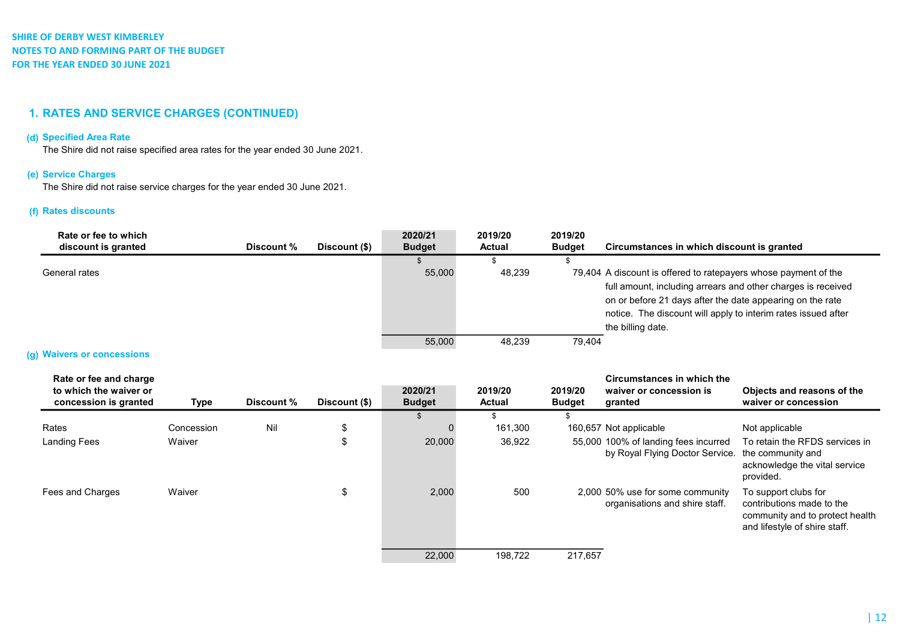# 1. RATES AND SERVICE CHARGES (CONTINUED)

## (d) Specified Area Rate

The Shire did not raise specified area rates for the year ended 30 June 2021.

# (e) Service Charges

The Shire did not raise service charges for the year ended 30 June 2021.

## (f) Rates discounts

| Rate or fee to which<br>discount is granted | Discount % | Discount (\$) | 2020/21<br><b>Budget</b> | 2019/20<br><b>Actual</b> | 2019/20<br><b>Budget</b> | Circumstances in which discount is granted                                                                                                                                                                                                                                         |
|---------------------------------------------|------------|---------------|--------------------------|--------------------------|--------------------------|------------------------------------------------------------------------------------------------------------------------------------------------------------------------------------------------------------------------------------------------------------------------------------|
|                                             |            |               |                          |                          |                          |                                                                                                                                                                                                                                                                                    |
| General rates                               |            |               | 55,000                   | 48,239                   |                          | 79,404 A discount is offered to ratepayers whose payment of the<br>full amount, including arrears and other charges is received<br>on or before 21 days after the date appearing on the rate<br>notice. The discount will apply to interim rates issued after<br>the billing date. |
|                                             |            |               | 55,000                   | 48,239                   | 79.404                   |                                                                                                                                                                                                                                                                                    |

### (g) Waivers or concessions

| Rate or fee and charge<br>to which the waiver or<br>concession is granted | Type       | Discount % | Discount (\$) | 2020/21<br><b>Budget</b> | 2019/20<br><b>Actual</b> | 2019/20<br><b>Budget</b> | Circumstances in which the<br>waiver or concession is<br>granted        | Objects and reasons of the<br>waiver or concession                                                                    |
|---------------------------------------------------------------------------|------------|------------|---------------|--------------------------|--------------------------|--------------------------|-------------------------------------------------------------------------|-----------------------------------------------------------------------------------------------------------------------|
|                                                                           |            |            |               |                          |                          |                          |                                                                         |                                                                                                                       |
| Rates                                                                     | Concession | Nil        | \$            |                          | 161,300                  |                          | 160,657 Not applicable                                                  | Not applicable                                                                                                        |
| <b>Landing Fees</b>                                                       | Waiver     |            |               | 20,000                   | 36,922                   |                          | 55,000 100% of landing fees incurred<br>by Royal Flying Doctor Service. | To retain the RFDS services in<br>the community and<br>acknowledge the vital service<br>provided.                     |
| Fees and Charges                                                          | Waiver     |            |               | 2,000                    | 500                      |                          | 2,000 50% use for some community<br>organisations and shire staff.      | To support clubs for<br>contributions made to the<br>community and to protect health<br>and lifestyle of shire staff. |
|                                                                           |            |            |               | 22,000                   | 198.722                  | 217.657                  |                                                                         |                                                                                                                       |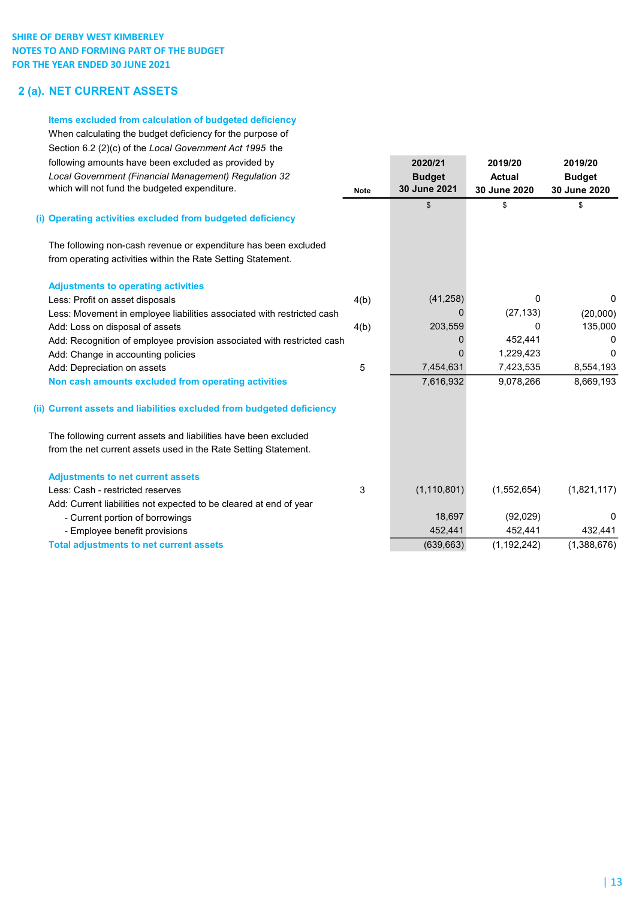# 2 (a). NET CURRENT ASSETS

### Items excluded from calculation of budgeted deficiency

When calculating the budget deficiency for the purpose of Section 6.2 (2)(c) of the Local Government Act 1995 the following amounts have been excluded as provided by 2020/21 2019/20 2019/20 Local Government (Financial Management) Regulation 32 Budget Budget **Actual Budget** Budget which will not fund the budgeted expenditure. Note 10 Note 30 June 2021 30 June 2020 30 June 2020

## (i) Operating activities excluded from budgeted deficiency

The following non-cash revenue or expenditure has been excluded from operating activities within the Rate Setting Statement.

| <b>Adjustments to operating activities</b>                             |      |               |             |             |
|------------------------------------------------------------------------|------|---------------|-------------|-------------|
| Less: Profit on asset disposals                                        | 4(b) | (41,258)      | 0           | 0           |
| Less: Movement in employee liabilities associated with restricted cash |      |               | (27, 133)   | (20,000)    |
| Add: Loss on disposal of assets                                        | 4(b) | 203,559       | 0           | 135,000     |
| Add: Recognition of employee provision associated with restricted cash |      |               | 452,441     |             |
| Add: Change in accounting policies                                     |      |               | 1,229,423   | 0           |
| Add: Depreciation on assets                                            | 5    | 7,454,631     | 7,423,535   | 8,554,193   |
| Non cash amounts excluded from operating activities                    |      | 7,616,932     | 9,078,266   | 8,669,193   |
| (ii) Current assets and liabilities excluded from budgeted deficiency  |      |               |             |             |
| The following current assets and liabilities have been excluded        |      |               |             |             |
| from the net current assets used in the Rate Setting Statement.        |      |               |             |             |
| <b>Adjustments to net current assets</b>                               |      |               |             |             |
| Less: Cash - restricted reserves                                       | 3    | (1, 110, 801) | (1,552,654) | (1,821,117) |
| Add: Current liabilities not expected to be cleared at end of year     |      |               |             |             |
| - Current portion of borrowings                                        |      | 18,697        | (92,029)    | 0           |

 $\begin{array}{ccc} \texttt{\$} & \texttt{\$} & \texttt{\$} & \texttt{\$} \end{array}$ 

- Employee benefit provisions **452,441** 452,441 452,441 452,441 432,441

Total adjustments to net current assets (639,663) (1,192,242) (1,388,676)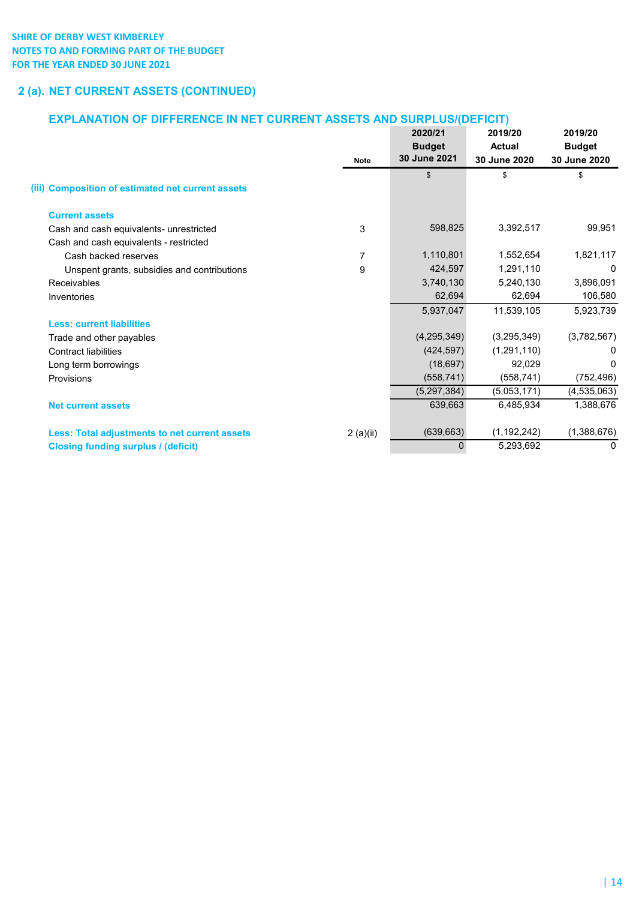# 2 (a). NET CURRENT ASSETS (CONTINUED)

# EXPLANATION OF DIFFERENCE IN NET CURRENT ASSETS AND SURPLUS/(DEFICIT)

|                                                      | <b>Note</b>    | 2020/21<br><b>Budget</b><br>30 June 2021 | 2019/20<br><b>Actual</b><br>30 June 2020 | 2019/20<br><b>Budget</b><br>30 June 2020 |
|------------------------------------------------------|----------------|------------------------------------------|------------------------------------------|------------------------------------------|
| (iii) Composition of estimated net current assets    |                | $\mathfrak{s}$                           | \$                                       | \$                                       |
| <b>Current assets</b>                                |                |                                          |                                          |                                          |
| Cash and cash equivalents- unrestricted              | 3              | 598,825                                  | 3,392,517                                | 99,951                                   |
| Cash and cash equivalents - restricted               |                |                                          |                                          |                                          |
| Cash backed reserves                                 | $\overline{7}$ | 1,110,801                                | 1,552,654                                | 1,821,117                                |
| Unspent grants, subsidies and contributions          | 9              | 424,597                                  | 1,291,110                                | 0                                        |
| <b>Receivables</b>                                   |                | 3,740,130                                | 5,240,130                                | 3,896,091                                |
| Inventories                                          |                | 62,694                                   | 62,694                                   | 106,580                                  |
|                                                      |                | 5,937,047                                | 11,539,105                               | 5,923,739                                |
| <b>Less: current liabilities</b>                     |                |                                          |                                          |                                          |
| Trade and other payables                             |                | (4,295,349)                              | (3,295,349)                              | (3,782,567)                              |
| <b>Contract liabilities</b>                          |                | (424, 597)                               | (1,291,110)                              |                                          |
| Long term borrowings                                 |                | (18, 697)                                | 92,029                                   | <sup>0</sup>                             |
| Provisions                                           |                | (558, 741)                               | (558, 741)                               | (752, 496)                               |
|                                                      |                | (5,297,384)                              | (5,053,171)                              | (4,535,063)                              |
| <b>Net current assets</b>                            |                | 639,663                                  | 6,485,934                                | 1,388,676                                |
| <b>Less: Total adjustments to net current assets</b> | 2(a)(ii)       | (639, 663)                               | (1, 192, 242)                            | (1,388,676)                              |
| <b>Closing funding surplus / (deficit)</b>           |                | $\mathbf 0$                              | 5,293,692                                | 0                                        |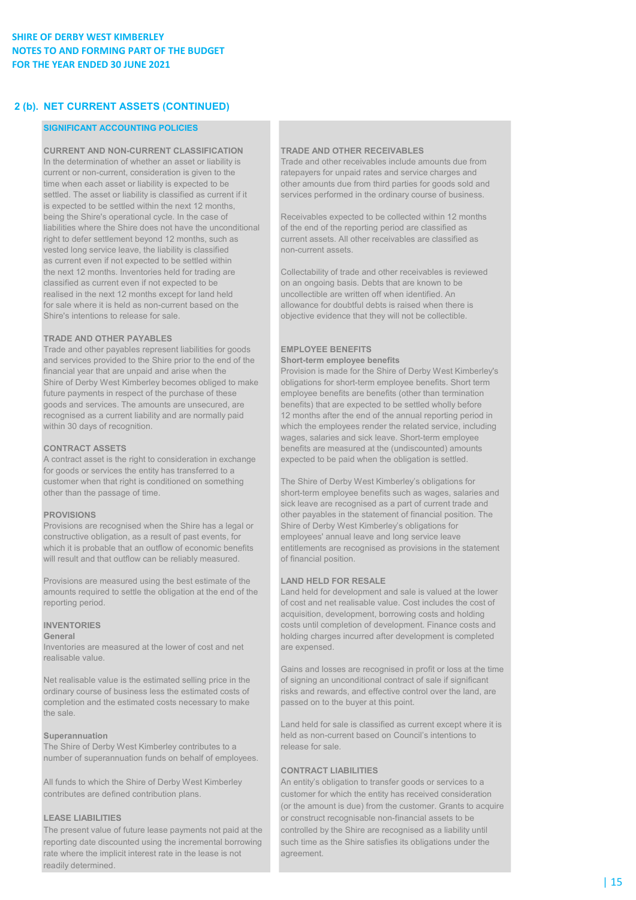# 2 (b). NET CURRENT ASSETS (CONTINUED)

### SIGNIFICANT ACCOUNTING POLICIES

CURRENT AND NON-CURRENT CLASSIFICATION TRADE AND OTHER RECEIVABLES

current or non-current, consideration is given to the ratepayers for unpaid rates and service charges and time when each asset or liability is expected to be other amounts due from third parties for goods sold and settled. The asset or liability is classified as current if it services performed in the ordinary course of business. is expected to be settled within the next 12 months, being the Shire's operational cycle. In the case of Receivables expected to be collected within 12 months liabilities where the Shire does not have the unconditional of the end of the reporting period are classified as<br>
right to defer settlement bevond 12 months, such as<br>
current assets. All other receivables are classified as right to defer settlement beyond 12 months, such as vested long service leave, the liability is classified non-current assets. as current even if not expected to be settled within the next 12 months. Inventories held for trading are Collectability of trade and other receivables is reviewed classified as current even if not expected to be on an ongoing basis. Debts that are known to be realised in the next 12 months except for land held uncollectible are written off when identified. An for sale where it is held as non-current based on the allowance for doubtful debts is raised when there is Shire's intentions to release for sale.  $\blacksquare$  objective evidence that they will not be collectible.

### TRADE AND OTHER PAYABLES

Trade and other payables represent liabilities for goods **EMPLOYEE BENEFITS** and services provided to the Shire prior to the end of the Short-term employee benefits Shire of Derby West Kimberley becomes obliged to make obligations for short-term employee benefits. Short term<br>
future payments in respect of the purchase of these employee benefits are benefits (other than termination goods and services. The amounts are unsecured, are benefits) that are expected to be settled wholly before recognised as a current liability and are normally paid 12 months after the end of the annual reporting period recognised as a current liability and are normally paid 12 months after the end of the annual reporting period in<br>which the employees render the related service, including<br>which the employees render the related service, in

A contract asset is the right to consideration in exchange expected to be paid when the obligation is settled. for goods or services the entity has transferred to a customer when that right is conditioned on something The Shire of Derby West Kimberley's obligations for

Provisions are recognised when the Shire has a legal or Shire of Derby West Kimberley's obligations for constructive obligation, as a result of past events, for employees' annual leave and long service leave will result and that outflow can be reliably measured. of financial position.

Provisions are measured using the best estimate of the LAND HELD FOR RESALE amounts required to settle the obligation at the end of the Land held for development and sale is valued at the lower reporting period. of cost and net realisable value. Cost includes the cost of

Inventories are measured at the lower of cost and net are expensed. realisable value.

completion and the estimated costs necessary to make passed on to the buyer at this point. the sale.

The Shire of Derby West Kimberley contributes to a release for sale. number of superannuation funds on behalf of employees.

The present value of future lease payments not paid at the controlled by the Shire are recognised as a liability until reporting date discounted using the incremental borrowing such time as the Shire satisfies its obligations under the rate where the implicit interest rate in the lease is not agreement. readily determined.

In the determination of whether an asset or liability is Trade and other receivables include amounts due from

financial year that are unpaid and arise when the Provision is made for the Shire of Derby West Kimberley's employee benefits are benefits (other than termination which the employees render the related service, including wages, salaries and sick leave. Short-term employee **CONTRACT ASSETS benefits are measured at the (undiscounted) amounts** 

other than the passage of time. Short-term employee benefits such as wages, salaries and sick leave are recognised as a part of current trade and **PROVISIONS outlet as a constructed by the statement of financial position.** The which it is probable that an outflow of economic benefits entitlements are recognised as provisions in the statement

acquisition, development, borrowing costs and holding INVENTORIES costs until completion of development. Finance costs and General **General General**  $\alpha$  is completed after development is completed after development is completed

Gains and losses are recognised in profit or loss at the time Net realisable value is the estimated selling price in the of signing an unconditional contract of sale if significant ordinary course of business less the estimated costs of risks and rewards, and effective control over the land, are

Land held for sale is classified as current except where it is Superannuation **Superannuation** held as non-current based on Council's intentions to

### CONTRACT LIABILITIES

All funds to which the Shire of Derby West Kimberley An entity's obligation to transfer goods or services to a contributes are defined contribution plans. customer for which the entity has received consideration (or the amount is due) from the customer. Grants to acquire LEASE LIABILITIES **LEASE LIABILITIES or construct recognisable non-financial assets to be**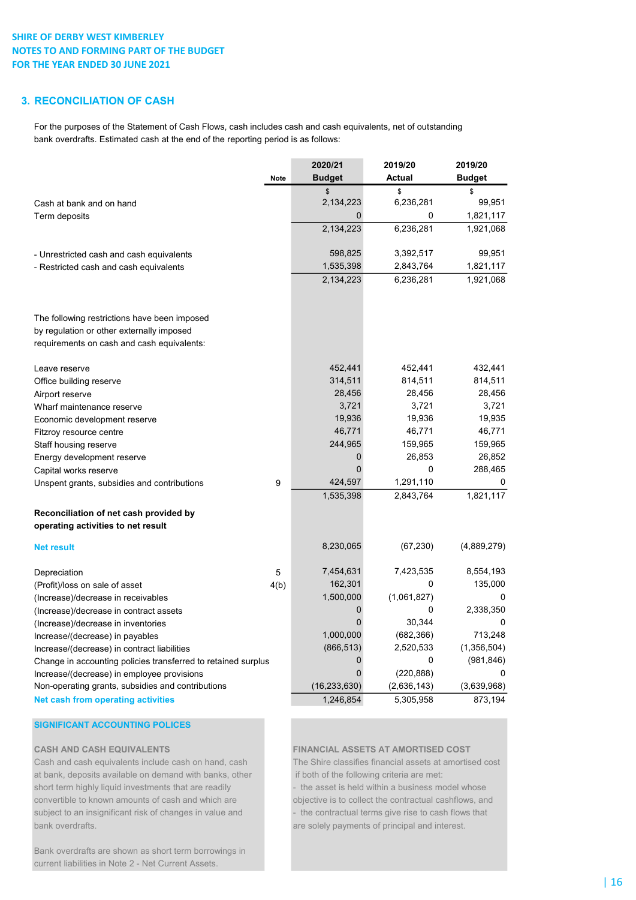# 3. RECONCILIATION OF CASH

For the purposes of the Statement of Cash Flows, cash includes cash and cash equivalents, net of outstanding bank overdrafts. Estimated cash at the end of the reporting period is as follows:

|                                                               |             | 2020/21        | 2019/20     | 2019/20       |
|---------------------------------------------------------------|-------------|----------------|-------------|---------------|
|                                                               | <b>Note</b> | <b>Budget</b>  | Actual      | <b>Budget</b> |
|                                                               |             | \$             | \$          | \$            |
| Cash at bank and on hand                                      |             | 2,134,223      | 6,236,281   | 99,951        |
| Term deposits                                                 |             | 0              | 0           | 1,821,117     |
|                                                               |             | 2,134,223      | 6,236,281   | 1,921,068     |
| - Unrestricted cash and cash equivalents                      |             | 598,825        | 3,392,517   | 99,951        |
| - Restricted cash and cash equivalents                        |             | 1,535,398      | 2,843,764   | 1,821,117     |
|                                                               |             | 2,134,223      | 6,236,281   | 1,921,068     |
| The following restrictions have been imposed                  |             |                |             |               |
| by regulation or other externally imposed                     |             |                |             |               |
| requirements on cash and cash equivalents:                    |             |                |             |               |
| Leave reserve                                                 |             | 452,441        | 452,441     | 432,441       |
| Office building reserve                                       |             | 314,511        | 814,511     | 814,511       |
| Airport reserve                                               |             | 28,456         | 28,456      | 28,456        |
| Wharf maintenance reserve                                     |             | 3,721          | 3,721       | 3,721         |
| Economic development reserve                                  |             | 19,936         | 19,936      | 19,935        |
| Fitzroy resource centre                                       |             | 46,771         | 46,771      | 46,771        |
| Staff housing reserve                                         |             | 244,965        | 159,965     | 159,965       |
| Energy development reserve                                    |             | 0              | 26,853      | 26,852        |
| Capital works reserve                                         |             | $\overline{0}$ | 0           | 288,465       |
| Unspent grants, subsidies and contributions                   | 9           | 424,597        | 1,291,110   | 0             |
|                                                               |             | 1,535,398      | 2,843,764   | 1,821,117     |
| Reconciliation of net cash provided by                        |             |                |             |               |
| operating activities to net result                            |             |                |             |               |
| Net result                                                    |             | 8,230,065      | (67, 230)   | (4,889,279)   |
| Depreciation                                                  | 5           | 7,454,631      | 7,423,535   | 8,554,193     |
| (Profit)/loss on sale of asset                                | 4(b)        | 162,301        | 0           | 135,000       |
| (Increase)/decrease in receivables                            |             | 1,500,000      | (1,061,827) | 0             |
| (Increase)/decrease in contract assets                        |             | 0              | 0           | 2,338,350     |
| (Increase)/decrease in inventories                            |             | $\overline{0}$ | 30,344      | 0             |
| Increase/(decrease) in payables                               |             | 1,000,000      | (682, 366)  | 713,248       |
| Increase/(decrease) in contract liabilities                   |             | (866, 513)     | 2,520,533   | (1,356,504)   |
| Change in accounting policies transferred to retained surplus |             | 0              | 0           | (981, 846)    |
| Increase/(decrease) in employee provisions                    |             | $\overline{0}$ | (220, 888)  | 0             |
| Non-operating grants, subsidies and contributions             |             | (16,233,630)   | (2,636,143) | (3,639,968)   |
| <b>Net cash from operating activities</b>                     |             | 1,246,854      | 5,305,958   | 873,194       |

## SIGNIFICANT ACCOUNTING POLICES

Cash and cash equivalents include cash on hand, cash The Shire classifies financial assets at amortised cost at bank, deposits available on demand with banks, other if both of the following criteria are met: short term highly liquid investments that are readily - the asset is held within a business model whose convertible to known amounts of cash and which are objective is to collect the contractual cashflows, and subject to an insignificant risk of changes in value and - the contractual terms give rise to cash flows that bank overdrafts. are solely payments of principal and interest.

CASH AND CASH EQUIVALENTS FINANCIAL ASSETS AT AMORTISED COST

Bank overdrafts are shown as short term borrowings in current liabilities in Note 2 - Net Current Assets.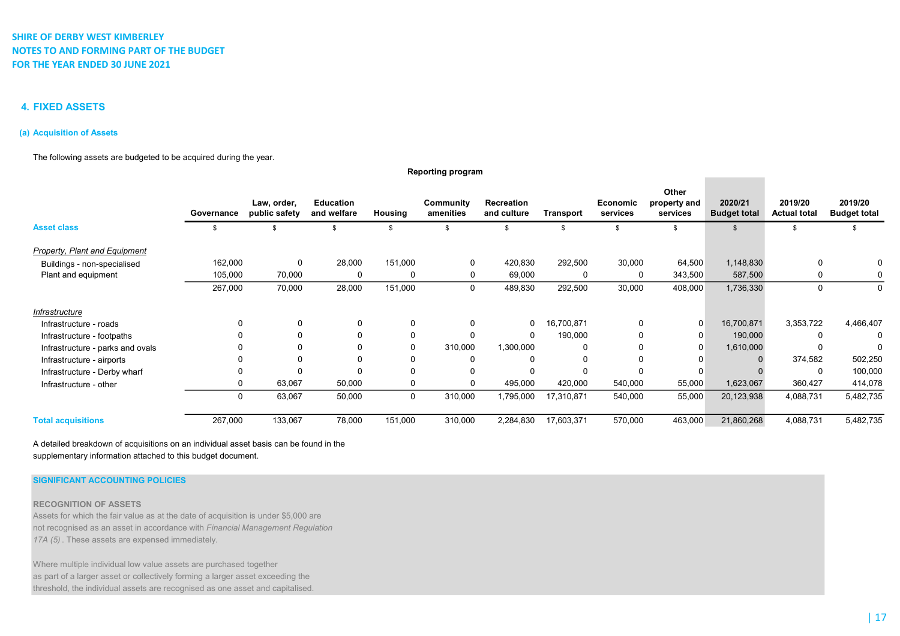## 4. FIXED ASSETS

### (a) Acquisition of Assets

### The following assets are budgeted to be acquired during the year.

|                                  | Governance | Law, order,<br>public safety | <b>Education</b><br>and welfare | Housing  | Community<br>amenities | Recreation<br>and culture | Transport  | Economic<br>services | Other<br>property and<br>services | 2020/21<br><b>Budget total</b> | 2019/20<br><b>Actual total</b> | 2019/20<br><b>Budget total</b> |
|----------------------------------|------------|------------------------------|---------------------------------|----------|------------------------|---------------------------|------------|----------------------|-----------------------------------|--------------------------------|--------------------------------|--------------------------------|
| <b>Asset class</b>               |            |                              | \$                              |          | \$                     |                           | \$         |                      | £.                                |                                |                                |                                |
| Property, Plant and Equipment    |            |                              |                                 |          |                        |                           |            |                      |                                   |                                |                                |                                |
| Buildings - non-specialised      | 162,000    | $\Omega$                     | 28,000                          | 151,000  | 0                      | 420,830                   | 292,500    | 30,000               | 64,500                            | 1,148,830                      | $\Omega$                       | 0                              |
| Plant and equipment              | 105,000    | 70,000                       | $\Omega$                        | 0        | 0                      | 69,000                    | 0          | 0                    | 343,500                           | 587,500                        |                                | 0                              |
|                                  | 267,000    | 70,000                       | 28,000                          | 151,000  | 0                      | 489,830                   | 292,500    | 30,000               | 408,000                           | 1,736,330                      | $\Omega$                       | 0                              |
| Infrastructure                   |            |                              |                                 |          |                        |                           |            |                      |                                   |                                |                                |                                |
| Infrastructure - roads           | 0          | 0                            | $\Omega$                        | $\Omega$ | $\Omega$               | 0                         | 16,700,871 | 0                    | 0                                 | 16,700,871                     | 3,353,722                      | 4,466,407                      |
| Infrastructure - footpaths       |            |                              |                                 |          | $\Omega$               | $\Omega$                  | 190,000    | $\Omega$             | $\Omega$                          | 190,000                        |                                | $\Omega$                       |
| Infrastructure - parks and ovals |            |                              |                                 |          | 310,000                | 1,300,000                 | 0          |                      | $\Omega$                          | 1,610,000                      |                                | $\Omega$                       |
| Infrastructure - airports        |            |                              |                                 |          | 0                      | $\Omega$                  | 0          | $\Omega$             |                                   |                                | 374,582                        | 502,250                        |
| Infrastructure - Derby wharf     |            |                              |                                 |          | 0                      | O                         | 0          |                      |                                   |                                |                                | 100,000                        |
| Infrastructure - other           | 0          | 63,067                       | 50,000                          | 0        | 0                      | 495,000                   | 420,000    | 540,000              | 55,000                            | 1,623,067                      | 360,427                        | 414,078                        |
|                                  | 0          | 63,067                       | 50,000                          | 0        | 310,000                | 1,795,000                 | 17,310,871 | 540,000              | 55,000                            | 20,123,938                     | 4,088,731                      | 5,482,735                      |
| <b>Total acquisitions</b>        | 267,000    | 133,067                      | 78,000                          | 151,000  | 310,000                | 2,284,830                 | 17,603,371 | 570,000              | 463,000                           | 21,860,268                     | 4,088,731                      | 5,482,735                      |

Reporting program

A detailed breakdown of acquisitions on an individual asset basis can be found in the supplementary information attached to this budget document.

### SIGNIFICANT ACCOUNTING POLICIES

### RECOGNITION OF ASSETS

Assets for which the fair value as at the date of acquisition is under \$5,000 are not recognised as an asset in accordance with Financial Management Regulation 17A (5) . These assets are expensed immediately.

Where multiple individual low value assets are purchased together as part of a larger asset or collectively forming a larger asset exceeding the threshold, the individual assets are recognised as one asset and capitalised.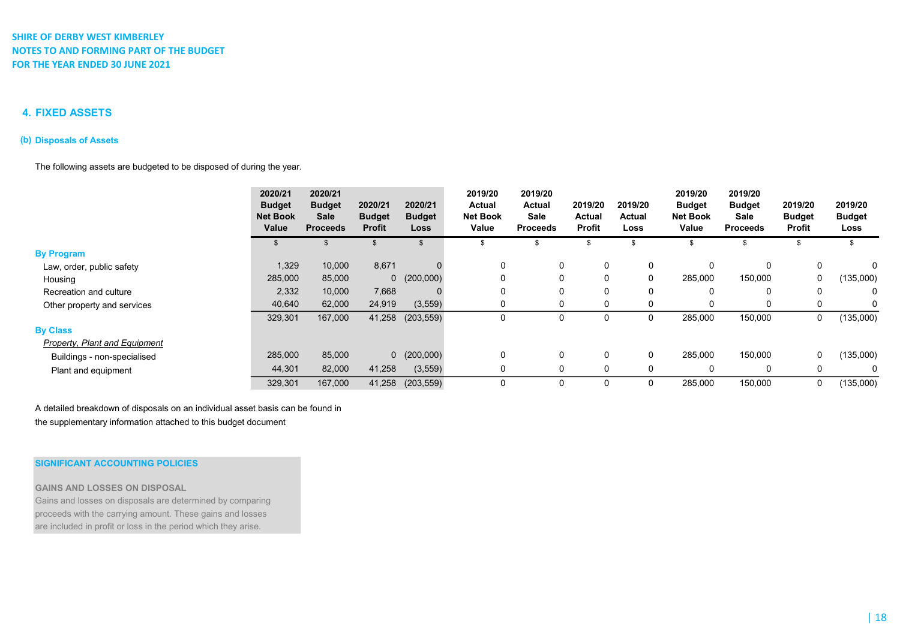## 4. FIXED ASSETS

### (b) Disposals of Assets

The following assets are budgeted to be disposed of during the year.

|                                      | 2020/21<br><b>Budget</b><br><b>Net Book</b><br>Value | 2020/21<br><b>Budget</b><br><b>Sale</b><br><b>Proceeds</b> | 2020/21<br><b>Budget</b><br><b>Profit</b> | 2020/21<br><b>Budget</b><br>Loss | 2019/20<br><b>Actual</b><br><b>Net Book</b><br>Value | 2019/20<br><b>Actual</b><br>Sale<br><b>Proceeds</b> | 2019/20<br>Actual<br><b>Profit</b> | 2019/20<br>Actual<br>Loss | 2019/20<br><b>Budget</b><br><b>Net Book</b><br>Value | 2019/20<br><b>Budget</b><br>Sale<br><b>Proceeds</b> | 2019/20<br><b>Budget</b><br><b>Profit</b> | 2019/20<br><b>Budget</b><br>Loss |
|--------------------------------------|------------------------------------------------------|------------------------------------------------------------|-------------------------------------------|----------------------------------|------------------------------------------------------|-----------------------------------------------------|------------------------------------|---------------------------|------------------------------------------------------|-----------------------------------------------------|-------------------------------------------|----------------------------------|
|                                      |                                                      |                                                            |                                           |                                  |                                                      |                                                     |                                    |                           |                                                      |                                                     |                                           |                                  |
| <b>By Program</b>                    |                                                      |                                                            |                                           |                                  |                                                      |                                                     |                                    |                           |                                                      |                                                     |                                           |                                  |
| Law, order, public safety            | 1,329                                                | 10,000                                                     | 8,671                                     | $\Omega$                         | $\Omega$                                             | 0                                                   | 0                                  | 0                         | 0                                                    | 0                                                   | $\mathbf 0$                               | 0                                |
| Housing                              | 285,000                                              | 85,000                                                     |                                           | 0(200,000)                       | 0                                                    | 0                                                   | 0                                  | 0                         | 285,000                                              | 150,000                                             | 0                                         | (135,000)                        |
| Recreation and culture               | 2,332                                                | 10,000                                                     | 7,668                                     |                                  | $\Omega$                                             | 0                                                   | 0                                  | 0                         | 0                                                    | 0                                                   | 0                                         | 0                                |
| Other property and services          | 40,640                                               | 62,000                                                     | 24,919                                    | (3, 559)                         | $\Omega$                                             | 0                                                   | 0                                  | 0                         | 0                                                    | 0                                                   | 0                                         | 0                                |
|                                      | 329,301                                              | 167,000                                                    | 41,258                                    | (203, 559)                       |                                                      | 0                                                   | 0                                  | $\mathbf 0$               | 285,000                                              | 150,000                                             | 0                                         | (135,000)                        |
| <b>By Class</b>                      |                                                      |                                                            |                                           |                                  |                                                      |                                                     |                                    |                           |                                                      |                                                     |                                           |                                  |
| <b>Property, Plant and Equipment</b> |                                                      |                                                            |                                           |                                  |                                                      |                                                     |                                    |                           |                                                      |                                                     |                                           |                                  |
| Buildings - non-specialised          | 285,000                                              | 85,000                                                     |                                           | $0$ (200,000)                    | $\mathbf{0}$                                         | 0                                                   | $\mathbf{0}$                       | $\mathbf{0}$              | 285,000                                              | 150,000                                             | 0                                         | (135,000)                        |
| Plant and equipment                  | 44,301                                               | 82,000                                                     | 41,258                                    | (3, 559)                         |                                                      | 0                                                   | 0                                  | $\Omega$                  | $\Omega$                                             | 0                                                   | $\mathbf{0}$                              |                                  |
|                                      | 329,301                                              | 167,000                                                    | 41,258                                    | (203, 559)                       |                                                      | 0                                                   | $\Omega$                           | 0                         | 285,000                                              | 150,000                                             | 0                                         | (135,000)                        |

A detailed breakdown of disposals on an individual asset basis can be found in the supplementary information attached to this budget document

### SIGNIFICANT ACCOUNTING POLICIES

### GAINS AND LOSSES ON DISPOSAL

Gains and losses on disposals are determined by comparing proceeds with the carrying amount. These gains and losses are included in profit or loss in the period which they arise.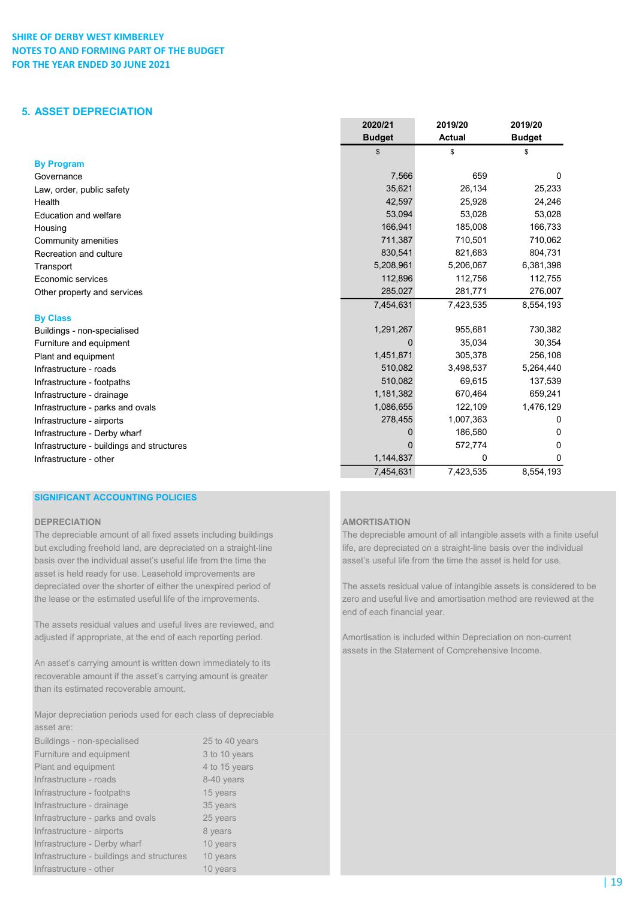## 5. ASSET DEPRECIATION

|                                           | 2020/21       | 2019/20       | 2019/20       |
|-------------------------------------------|---------------|---------------|---------------|
|                                           | <b>Budget</b> | <b>Actual</b> | <b>Budget</b> |
|                                           | \$            | \$            | \$            |
| <b>By Program</b>                         |               |               |               |
| Governance                                | 7,566         | 659           | 0             |
| Law, order, public safety                 | 35,621        | 26,134        | 25,233        |
| Health                                    | 42,597        | 25,928        | 24,246        |
| Education and welfare                     | 53,094        | 53,028        | 53,028        |
| Housing                                   | 166,941       | 185,008       | 166,733       |
| Community amenities                       | 711,387       | 710,501       | 710,062       |
| Recreation and culture                    | 830,541       | 821,683       | 804,731       |
| Transport                                 | 5,208,961     | 5,206,067     | 6,381,398     |
| Economic services                         | 112,896       | 112,756       | 112,755       |
| Other property and services               | 285,027       | 281,771       | 276,007       |
|                                           | 7,454,631     | 7,423,535     | 8,554,193     |
| <b>By Class</b>                           |               |               |               |
| Buildings - non-specialised               | 1,291,267     | 955,681       | 730,382       |
| Furniture and equipment                   | $\Omega$      | 35,034        | 30,354        |
| Plant and equipment                       | 1,451,871     | 305,378       | 256,108       |
| Infrastructure - roads                    | 510,082       | 3,498,537     | 5,264,440     |
| Infrastructure - footpaths                | 510,082       | 69,615        | 137,539       |
| Infrastructure - drainage                 | 1,181,382     | 670,464       | 659,241       |
| Infrastructure - parks and ovals          | 1,086,655     | 122,109       | 1,476,129     |
| Infrastructure - airports                 | 278,455       | 1,007,363     | 0             |
| Infrastructure - Derby wharf              | 0             | 186,580       | 0             |
| Infrastructure - buildings and structures | O             | 572,774       | 0             |
| Infrastructure - other                    | 1,144,837     | 0             | 0             |
|                                           | 7,454,631     | 7,423,535     | 8,554,193     |

# SIGNIFICANT ACCOUNTING POLICIES

### DEPRECIATION **AMORTISATION**

basis over the individual asset's useful life from the time the asset's useful life from the time the asset is held for use. asset is held ready for use. Leasehold improvements are depreciated over the shorter of either the unexpired period of The assets residual value of intangible assets is considered to be

The assets residual values and useful lives are reviewed, and adjusted if appropriate, at the end of each reporting period. Amortisation is included within Depreciation on non-current

An asset's carrying amount is written down immediately to its recoverable amount if the asset's carrying amount is greater than its estimated recoverable amount.

Major depreciation periods used for each class of depreciable asset are:

| Buildings - non-specialised               | 25 to 40 years |
|-------------------------------------------|----------------|
| Furniture and equipment                   | 3 to 10 years  |
| Plant and equipment                       | 4 to 15 years  |
| Infrastructure - roads                    | 8-40 years     |
| Infrastructure - footpaths                | 15 years       |
| Infrastructure - drainage                 | 35 years       |
| Infrastructure - parks and ovals          | 25 years       |
| Infrastructure - airports                 | 8 years        |
| Infrastructure - Derby wharf              | 10 years       |
| Infrastructure - buildings and structures | 10 years       |
| Infrastructure - other                    | 10 years       |

The depreciable amount of all fixed assets including buildings The depreciable amount of all intangible assets with a finite useful but excluding freehold land, are depreciated on a straight-line life, are depreciated on a straight-line basis over the individual

the lease or the estimated useful life of the improvements. zero and useful live and amortisation method are reviewed at the end of each financial year.

assets in the Statement of Comprehensive Income.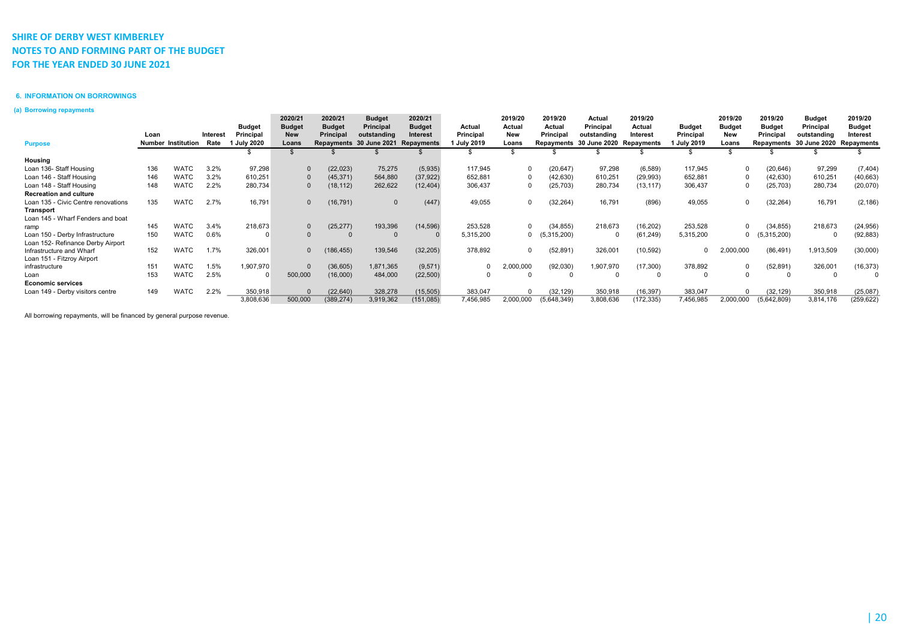### 6. INFORMATION ON BORROWINGS

### (a) Borrowing repayments

|                                     |      |                           |          |                  | 2020/21       | 2020/21       | <b>Budget</b>           | 2020/21       |                  | 2019/20   | 2019/20     | Actual                  | 2019/20    |                  | 2019/20       | 2019/20       | <b>Budget</b>                      | 2019/20       |
|-------------------------------------|------|---------------------------|----------|------------------|---------------|---------------|-------------------------|---------------|------------------|-----------|-------------|-------------------------|------------|------------------|---------------|---------------|------------------------------------|---------------|
|                                     |      |                           |          | <b>Budget</b>    | <b>Budget</b> | <b>Budget</b> | <b>Principal</b>        | <b>Budget</b> | Actual           | Actual    | Actual      | Principal               | Actual     | <b>Budget</b>    | <b>Budget</b> | <b>Budget</b> | Principal                          | <b>Budget</b> |
|                                     | Loan |                           | Interest | Principal        | <b>New</b>    | Principal     | outstanding             | Interest      | Principal        | New       | Principal   | outstanding             | Interest   | Principal        | New           | Principal     | outstanding                        | Interest      |
| <b>Purpose</b>                      |      | <b>Number Institution</b> | Rate     | <b>July 2020</b> | Loans         |               | Repayments 30 June 2021 | Repayments    | <b>July 2019</b> | Loans     |             | Repayments 30 June 2020 | Repayments | <b>July 2019</b> | Loans         |               | Repayments 30 June 2020 Repayments |               |
|                                     |      |                           |          |                  |               |               |                         |               |                  |           |             |                         |            |                  |               |               |                                    |               |
| Housing                             |      |                           |          |                  |               |               |                         |               |                  |           |             |                         |            |                  |               |               |                                    |               |
| Loan 136- Staff Housing             | 136  | <b>WATC</b>               | 3.2%     | 97,298           |               | (22, 023)     | 75,275                  | (5,935)       | 117,945          | $\Omega$  | (20, 647)   | 97,298                  | (6,589)    | 117,945          | $\Omega$      | (20, 646)     | 97,299                             | (7, 404)      |
| Loan 146 - Staff Housing            | 146  | <b>WATC</b>               | 3.2%     | 610,251          |               | (45, 371)     | 564,880                 | (37, 922)     | 652,881          | 0         | (42, 630)   | 610,251                 | (29, 993)  | 652,881          | $\Omega$      | (42, 630)     | 610,251                            | (40, 663)     |
| Loan 148 - Staff Housing            | 148  | <b>WATC</b>               | 2.2%     | 280,734          |               | (18, 112)     | 262,622                 | (12, 404)     | 306,437          | $\Omega$  | (25, 703)   | 280,734                 | (13, 117)  | 306,437          | $\Omega$      | (25, 703)     | 280,734                            | (20,070)      |
| <b>Recreation and culture</b>       |      |                           |          |                  |               |               |                         |               |                  |           |             |                         |            |                  |               |               |                                    |               |
| Loan 135 - Civic Centre renovations | 135  | WATC                      | 2.7%     | 16,791           | $\Omega$      | (16, 791)     |                         | (447)         | 49,055           | $\Omega$  | (32, 264)   | 16,791                  | (896)      | 49,055           | $\Omega$      | (32, 264)     | 16,791                             | (2, 186)      |
| Transport                           |      |                           |          |                  |               |               |                         |               |                  |           |             |                         |            |                  |               |               |                                    |               |
| Loan 145 - Wharf Fenders and boat   |      |                           |          |                  |               |               |                         |               |                  |           |             |                         |            |                  |               |               |                                    |               |
| ramp                                | 145  | <b>WATC</b>               | 3.4%     | 218,673          | $\Omega$      | (25, 277)     | 193,396                 | (14, 596)     | 253,528          | $\Omega$  | (34, 855)   | 218,673                 | (16, 202)  | 253,528          | $\Omega$      | (34, 855)     | 218,673                            | (24, 956)     |
| Loan 150 - Derby Infrastructure     | 150  | WATC                      | 0.6%     |                  |               |               |                         |               | 5,315,200        | $\Omega$  | (5,315,200) |                         | (61, 249)  | 5,315,200        | 0             | (5,315,200)   |                                    | (92, 883)     |
| Loan 152- Refinance Derby Airport   |      |                           |          |                  |               |               |                         |               |                  |           |             |                         |            |                  |               |               |                                    |               |
| Infrastructure and Wharf            | 152  | <b>WATC</b>               | 1.7%     | 326,001          | $\Omega$      | 186,455)      | 139,546                 | (32, 205)     | 378,892          | $\Omega$  | (52, 891)   | 326,001                 | (10, 592)  |                  | 2,000,000     | (86, 491)     | 1,913,509                          | (30,000)      |
| Loan 151 - Fitzroy Airport          |      |                           |          |                  |               |               |                         |               |                  |           |             |                         |            |                  |               |               |                                    |               |
| infrastructure                      | 151  | <b>WATC</b>               | 1.5%     | 1,907,970        | $\Omega$      | (36, 605)     | 1,871,365               | (9, 571)      |                  | 2,000,000 | (92,030)    | 1,907,970               | (17,300)   | 378,892          | $\mathbf 0$   | (52, 891)     | 326,001                            | (16, 373)     |
| Loan                                | 153  | <b>WATC</b>               | 2.5%     |                  | 500,000       | (16,000)      | 484,000                 | (22, 500)     |                  |           |             |                         |            |                  |               |               |                                    |               |
| <b>Economic services</b>            |      |                           |          |                  |               |               |                         |               |                  |           |             |                         |            |                  |               |               |                                    |               |
| Loan 149 - Derby visitors centre    | 149  | <b>WATC</b>               | 2.2%     | 350,918          | $\Omega$      | (22, 640)     | 328,278                 | (15, 505)     | 383,047          | $\Omega$  | (32, 129)   | 350,918                 | (16, 397)  | 383,047          | $\mathbf 0$   | (32, 129)     | 350,918                            | (25,087)      |
|                                     |      |                           |          | 3,808,636        | 500,000       | (389, 274)    | 3,919,362               | (151,085)     | 7,456,985        | 2,000,000 | (5,648,349) | 3,808,636               | (172, 335) | 7,456,985        | 2,000,000     | (5,642,809)   | 3,814,176                          | (259, 622)    |

All borrowing repayments, will be financed by general purpose revenue.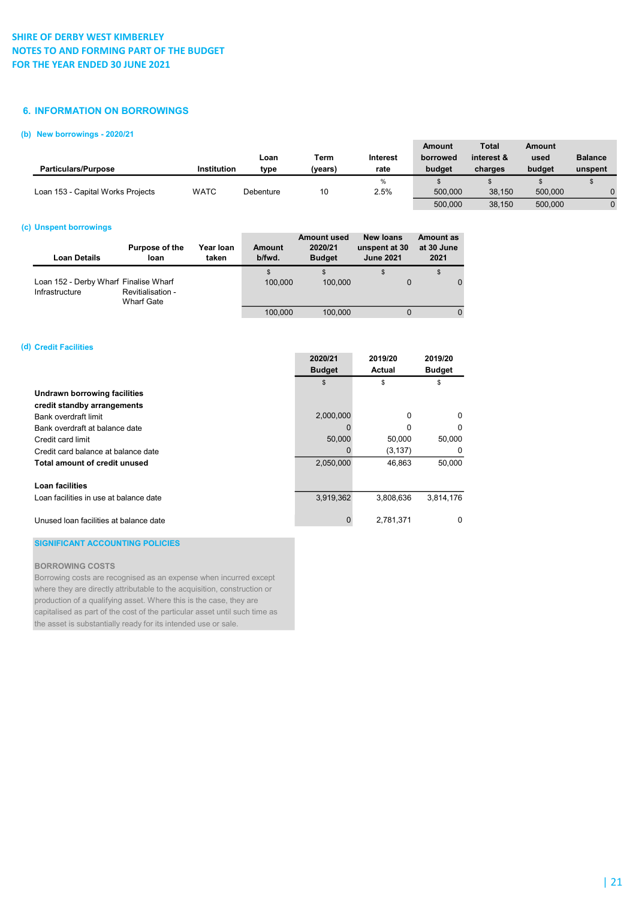### 6. INFORMATION ON BORROWINGS

### (b) New borrowings - 2020/21

|                                   |             |           |         |          | Amount   | <b>Total</b> | Amount  |                |
|-----------------------------------|-------------|-----------|---------|----------|----------|--------------|---------|----------------|
|                                   |             | Loan      | Term    | Interest | borrowed | interest &   | used    | <b>Balance</b> |
| <b>Particulars/Purpose</b>        | Institution | type      | (years) | rate     | budget   | charges      | budget  | unspent        |
|                                   |             |           |         | %        |          |              |         |                |
| Loan 153 - Capital Works Projects | <b>WATC</b> | Debenture | 10      | 2.5%     | 500,000  | 38.150       | 500.000 |                |
|                                   |             |           |         |          | 500,000  | 38.150       | 500.000 |                |

### (c) Unspent borrowings

| Loan Details                                            | Purpose of the<br>loan          | Year Ioan<br>taken | <b>Amount</b><br>b/fwd. | <b>Amount used</b><br>2020/21<br><b>Budget</b> | New loans<br>unspent at 30<br><b>June 2021</b> | <b>Amount as</b><br>at 30 June<br>2021 |
|---------------------------------------------------------|---------------------------------|--------------------|-------------------------|------------------------------------------------|------------------------------------------------|----------------------------------------|
| Loan 152 - Derby Wharf Finalise Wharf<br>Infrastructure | Revitialisation -<br>Wharf Gate |                    | \$<br>100.000           | 100.000                                        | \$                                             | \$                                     |
|                                                         |                                 |                    | 100.000                 | 100.000                                        | 0                                              |                                        |

### (d) Credit Facilities

|                                        | 2020/21       | 2019/20   | 2019/20       |
|----------------------------------------|---------------|-----------|---------------|
|                                        | <b>Budget</b> | Actual    | <b>Budget</b> |
|                                        | \$            | \$        | \$            |
| Undrawn borrowing facilities           |               |           |               |
| credit standby arrangements            |               |           |               |
| Bank overdraft limit                   | 2,000,000     | 0         | 0             |
| Bank overdraft at balance date         |               | 0         | O             |
| Credit card limit                      | 50,000        | 50,000    | 50,000        |
| Credit card balance at balance date    | 0             | (3, 137)  | $\Omega$      |
| Total amount of credit unused          | 2,050,000     | 46.863    | 50,000        |
|                                        |               |           |               |
| Loan facilities                        |               |           |               |
| Loan facilities in use at balance date | 3,919,362     | 3,808,636 | 3,814,176     |
|                                        |               |           |               |
| Unused loan facilities at balance date | $\Omega$      | 2.781.371 | <sup>0</sup>  |

### SIGNIFICANT ACCOUNTING POLICIES

### BORROWING COSTS

Borrowing costs are recognised as an expense when incurred except where they are directly attributable to the acquisition, construction or production of a qualifying asset. Where this is the case, they are capitalised as part of the cost of the particular asset until such time as the asset is substantially ready for its intended use or sale.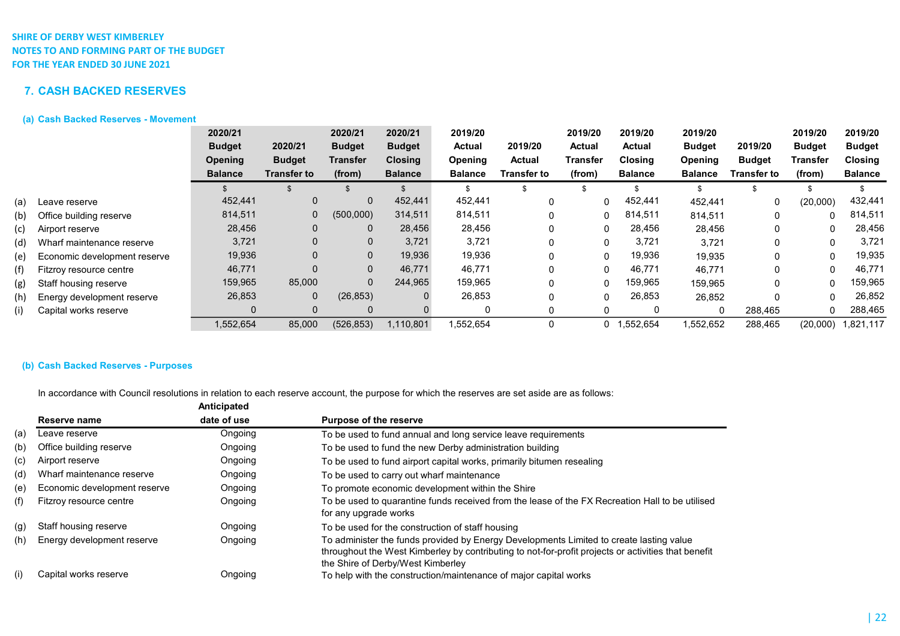# 7. CASH BACKED RESERVES

## (a) Cash Backed Reserves - Movement

|     |                              | 2020/21        |                    | 2020/21        | 2020/21        | 2019/20        |               | 2019/20     | 2019/20        | 2019/20        |               | 2019/20       | 2019/20        |
|-----|------------------------------|----------------|--------------------|----------------|----------------|----------------|---------------|-------------|----------------|----------------|---------------|---------------|----------------|
|     |                              | <b>Budget</b>  | 2020/21            | <b>Budget</b>  | <b>Budget</b>  | <b>Actual</b>  | 2019/20       | Actual      | <b>Actual</b>  | <b>Budget</b>  | 2019/20       | <b>Budget</b> | <b>Budget</b>  |
|     |                              | <b>Opening</b> | <b>Budget</b>      | Transfer       | <b>Closing</b> | Opening        | <b>Actual</b> | Transfer    | <b>Closing</b> | Opening        | <b>Budget</b> | Transfer      | <b>Closing</b> |
|     |                              | <b>Balance</b> | <b>Transfer to</b> | (from)         | <b>Balance</b> | <b>Balance</b> | Transfer to   | (from)      | <b>Balance</b> | <b>Balance</b> | Transfer to   | (from)        | <b>Balance</b> |
|     |                              |                |                    |                |                |                |               |             |                |                |               |               |                |
| (a) | Leave reserve                | 452,441        | $\overline{0}$     | 0              | 452,441        | 452,441        |               | $\Omega$    | 452,441        | 452,441        | 0             | (20,000)      | 432,441        |
| (b) | Office building reserve      | 814,511        | $\mathbf 0$        | (500,000)      | 314,511        | 814,511        |               | $\Omega$    | 814,511        | 814,511        | $\mathbf{0}$  |               | 814,511        |
| (c) | Airport reserve              | 28,456         | $\mathbf 0$        | 0              | 28,456         | 28,456         |               | 0           | 28,456         | 28,456         |               |               | 28,456         |
| (d) | Wharf maintenance reserve    | 3,721          | $\Omega$           | $\mathbf 0$    | 3,721          | 3,721          |               | $\Omega$    | 3,721          | 3,721          |               | 0             | 3,721          |
| (e) | Economic development reserve | 19,936         | $\mathbf 0$        | $\mathbf 0$    | 19,936         | 19,936         |               | $\mathbf 0$ | 19,936         | 19,935         |               | $\Omega$      | 19,935         |
| (f) | Fitzroy resource centre      | 46,771         | $\Omega$           | $\mathbf 0$    | 46,771         | 46,771         |               | $\Omega$    | 46,771         | 46,771         | 0             | 0             | 46,771         |
| (g) | Staff housing reserve        | 159,965        | 85,000             | $\overline{0}$ | 244,965        | 159,965        |               | $\Omega$    | 159,965        | 159,965        |               |               | 159,965        |
| (h) | Energy development reserve   | 26,853         | $\mathbf 0$        | (26, 853)      | 0              | 26,853         |               | $\Omega$    | 26,853         | 26,852         |               |               | 26,852         |
| (i) | Capital works reserve        | 0              | $\mathbf 0$        | 0              |                | 0              |               | 0           |                | $\mathbf 0$    | 288,465       |               | 288,465        |
|     |                              | 1,552,654      | 85,000             | (526, 853)     | 1.110.801      | 1,552,654      |               |             | 0 1.552.654    | .552,652       | 288,465       | (20,000)      | 1,821,117      |

## (b) Cash Backed Reserves - Purposes

In accordance with Council resolutions in relation to each reserve account, the purpose for which the reserves are set aside are as follows:

|     |                              | Anticipated |                                                                                                                                                                                                                                     |
|-----|------------------------------|-------------|-------------------------------------------------------------------------------------------------------------------------------------------------------------------------------------------------------------------------------------|
|     | Reserve name                 | date of use | <b>Purpose of the reserve</b>                                                                                                                                                                                                       |
| (a) | Leave reserve                | Ongoing     | To be used to fund annual and long service leave requirements                                                                                                                                                                       |
| (b) | Office building reserve      | Ongoing     | To be used to fund the new Derby administration building                                                                                                                                                                            |
| (c) | Airport reserve              | Ongoing     | To be used to fund airport capital works, primarily bitumen resealing                                                                                                                                                               |
| (d) | Wharf maintenance reserve    | Ongoing     | To be used to carry out wharf maintenance                                                                                                                                                                                           |
| (e) | Economic development reserve | Ongoing     | To promote economic development within the Shire                                                                                                                                                                                    |
| (f) | Fitzroy resource centre      | Ongoing     | To be used to quarantine funds received from the lease of the FX Recreation Hall to be utilised<br>for any upgrade works                                                                                                            |
| (g) | Staff housing reserve        | Ongoing     | To be used for the construction of staff housing                                                                                                                                                                                    |
| (h) | Energy development reserve   | Ongoing     | To administer the funds provided by Energy Developments Limited to create lasting value<br>throughout the West Kimberley by contributing to not-for-profit projects or activities that benefit<br>the Shire of Derby/West Kimberley |
| (i) | Capital works reserve        | Ongoing     | To help with the construction/maintenance of major capital works                                                                                                                                                                    |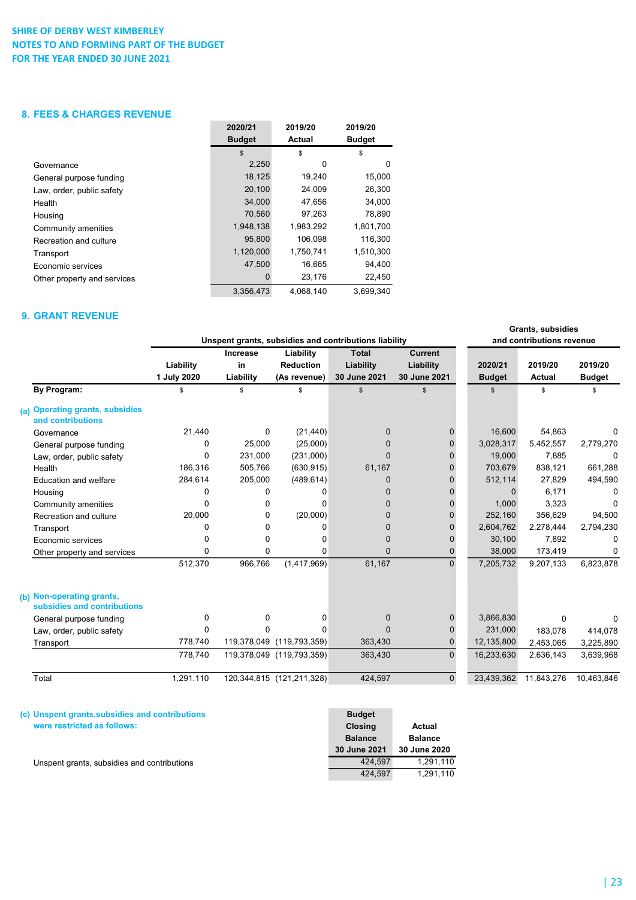## 8. FEES & CHARGES REVENUE

|                             | 2020/21       | 2019/20   | 2019/20       |
|-----------------------------|---------------|-----------|---------------|
|                             | <b>Budget</b> | Actual    | <b>Budget</b> |
|                             | \$            | \$        | \$            |
| Governance                  | 2,250         | 0         | 0             |
| General purpose funding     | 18,125        | 19,240    | 15,000        |
| Law, order, public safety   | 20,100        | 24,009    | 26,300        |
| Health                      | 34.000        | 47.656    | 34.000        |
| Housing                     | 70,560        | 97,263    | 78,890        |
| Community amenities         | 1,948,138     | 1,983,292 | 1,801,700     |
| Recreation and culture      | 95,800        | 106,098   | 116,300       |
| Transport                   | 1,120,000     | 1.750.741 | 1,510,300     |
| Economic services           | 47,500        | 16,665    | 94,400        |
| Other property and services | 0             | 23,176    | 22,450        |
|                             | 3.356.473     | 4.068.140 | 3.699.340     |

### 9. GRANT REVENUE

|                                                          | Unspent grants, subsidies and contributions liability |                             |                                               |                                           |                                             |                          | Grants, subsidies<br>and contributions revenue |                          |  |
|----------------------------------------------------------|-------------------------------------------------------|-----------------------------|-----------------------------------------------|-------------------------------------------|---------------------------------------------|--------------------------|------------------------------------------------|--------------------------|--|
|                                                          | Liability<br>1 July 2020                              | Increase<br>in<br>Liability | Liability<br><b>Reduction</b><br>(As revenue) | <b>Total</b><br>Liability<br>30 June 2021 | <b>Current</b><br>Liability<br>30 June 2021 | 2020/21<br><b>Budget</b> | 2019/20<br><b>Actual</b>                       | 2019/20<br><b>Budget</b> |  |
| <b>By Program:</b>                                       | \$                                                    | \$                          | \$                                            | $\mathfrak s$                             | \$                                          | \$                       | \$                                             | \$                       |  |
| (a) Operating grants, subsidies<br>and contributions     |                                                       |                             |                                               |                                           |                                             |                          |                                                |                          |  |
| Governance                                               | 21,440                                                | 0                           | (21, 440)                                     | $\Omega$                                  | $\Omega$                                    | 16,600                   | 54,863                                         | $\Omega$                 |  |
| General purpose funding                                  | 0                                                     | 25,000                      | (25,000)                                      | $\Omega$                                  | $\Omega$                                    | 3,028,317                | 5,452,557                                      | 2,779,270                |  |
| Law, order, public safety                                | 0                                                     | 231,000                     | (231,000)                                     | $\Omega$                                  | $\Omega$                                    | 19,000                   | 7.885                                          | $\Omega$                 |  |
| Health                                                   | 186.316                                               | 505,766                     | (630, 915)                                    | 61,167                                    | 0                                           | 703,679                  | 838.121                                        | 661,288                  |  |
| Education and welfare                                    | 284,614                                               | 205,000                     | (489, 614)                                    | $\mathbf{0}$                              | $\overline{0}$                              | 512,114                  | 27,829                                         | 494,590                  |  |
| Housing                                                  | 0                                                     | 0                           | U                                             | $\Omega$                                  | U                                           | $\Omega$                 | 6.171                                          | $\Omega$                 |  |
| Community amenities                                      | 0                                                     | 0                           | $\Omega$                                      | $\Omega$                                  | 0                                           | 1,000                    | 3,323                                          | $\Omega$                 |  |
| Recreation and culture                                   | 20,000                                                | 0                           | (20,000)                                      | $\Omega$                                  | $\Omega$                                    | 252,160                  | 356,629                                        | 94,500                   |  |
| Transport                                                | 0                                                     | $\Omega$                    | 0                                             | $\Omega$                                  | $\Omega$                                    | 2,604,762                | 2,278,444                                      | 2,794,230                |  |
| Economic services                                        | 0                                                     | 0                           | 0                                             | 0                                         | $\Omega$                                    | 30,100                   | 7,892                                          | $\Omega$                 |  |
| Other property and services                              | 0                                                     | 0                           | $\mathbf{0}$                                  | $\overline{0}$                            | $\Omega$                                    | 38,000                   | 173,419                                        | $\Omega$                 |  |
|                                                          | 512,370                                               | 966,766                     | (1,417,969)                                   | 61,167                                    | $\Omega$                                    | 7,205,732                | 9,207,133                                      | 6,823,878                |  |
| (b) Non-operating grants,<br>subsidies and contributions |                                                       |                             |                                               |                                           |                                             |                          |                                                |                          |  |
| General purpose funding                                  | 0                                                     | 0                           | ŋ                                             | $\Omega$                                  | 0                                           | 3,866,830                | $\Omega$                                       | $\Omega$                 |  |
| Law, order, public safety                                | 0                                                     | U                           |                                               | <sup>0</sup>                              | $\Omega$                                    | 231,000                  | 183,078                                        | 414,078                  |  |
| Transport                                                | 778,740                                               |                             | 119,378,049 (119,793,359)                     | 363,430                                   | 0                                           | 12,135,800               | 2,453,065                                      | 3,225,890                |  |
|                                                          | 778,740                                               |                             | 119,378,049 (119,793,359)                     | 363,430                                   | $\overline{0}$                              | 16,233,630               | 2,636,143                                      | 3,639,968                |  |
| Total                                                    | 1,291,110                                             |                             | 120, 344, 815 (121, 211, 328)                 | 424,597                                   | $\Omega$                                    | 23,439,362               | 11,843,276                                     | 10,463,846               |  |

| (c) Unspent grants, subsidies and contributions | <b>Budget</b>  |                |
|-------------------------------------------------|----------------|----------------|
| were restricted as follows:                     | <b>Closing</b> | Actual         |
|                                                 | <b>Balance</b> | <b>Balance</b> |
|                                                 | 30 June 2021   | 30 June 2020   |
| Unspent grants, subsidies and contributions     | 424.597        | 1.291.110      |
|                                                 | 424.597        | 1.291.110      |

| 23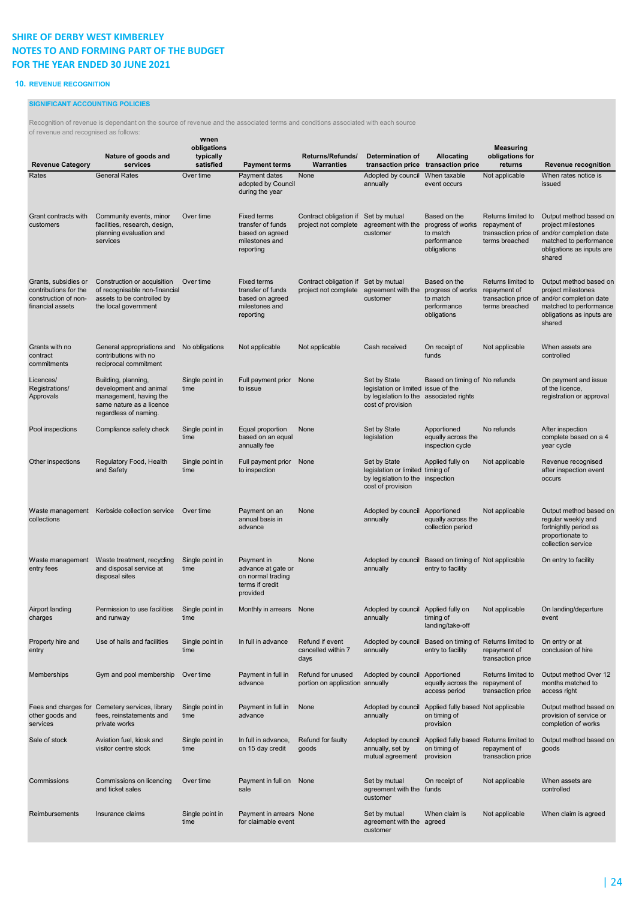### 10. REVENUE RECOGNITION

### SIGNIFICANT ACCOUNTING POLICIES

Recognition of revenue is dependant on the source of revenue and the associated terms and conditions associated with each source

| of revenue and recognised as follows:<br><b>Revenue Category</b>                          | Nature of goods and<br>services                                                                                              | wnen<br>obligations<br>typically<br>satisfied | <b>Payment terms</b>                                                                      | Returns/Refunds/<br><b>Warranties</b>                        | Determination of                                                                                                    | <b>Allocating</b><br>transaction price transaction price                    | <b>Measuring</b><br>obligations for<br>returns          | <b>Revenue recognition</b>                                                                                                                                   |
|-------------------------------------------------------------------------------------------|------------------------------------------------------------------------------------------------------------------------------|-----------------------------------------------|-------------------------------------------------------------------------------------------|--------------------------------------------------------------|---------------------------------------------------------------------------------------------------------------------|-----------------------------------------------------------------------------|---------------------------------------------------------|--------------------------------------------------------------------------------------------------------------------------------------------------------------|
| Rates                                                                                     | <b>General Rates</b>                                                                                                         | Over time                                     | Payment dates<br>adopted by Council<br>during the year                                    | None                                                         | Adopted by council<br>annually                                                                                      | When taxable<br>event occurs                                                | Not applicable                                          | When rates notice is<br>issued                                                                                                                               |
| Grant contracts with<br>customers                                                         | Community events, minor<br>facilities, research, design,<br>planning evaluation and<br>services                              | Over time                                     | <b>Fixed terms</b><br>transfer of funds<br>based on agreed<br>milestones and<br>reporting | Contract obligation if Set by mutual<br>project not complete | agreement with the<br>customer                                                                                      | Based on the<br>progress of works<br>to match<br>performance<br>obligations | Returns limited to<br>repayment of<br>terms breached    | Output method based on<br>project milestones<br>transaction price of and/or completion date<br>matched to performance<br>obligations as inputs are<br>shared |
| Grants, subsidies or<br>contributions for the<br>construction of non-<br>financial assets | Construction or acquisition<br>of recognisable non-financial<br>assets to be controlled by<br>the local government           | Over time                                     | <b>Fixed terms</b><br>transfer of funds<br>based on agreed<br>milestones and<br>reporting | Contract obligation if Set by mutual<br>project not complete | agreement with the<br>customer                                                                                      | Based on the<br>progress of works<br>to match<br>performance<br>obligations | Returns limited to<br>repayment of<br>terms breached    | Output method based on<br>project milestones<br>transaction price of and/or completion date<br>matched to performance<br>obligations as inputs are<br>shared |
| Grants with no<br>contract<br>commitments                                                 | General appropriations and No obligations<br>contributions with no<br>reciprocal commitment                                  |                                               | Not applicable                                                                            | Not applicable                                               | Cash received                                                                                                       | On receipt of<br>funds                                                      | Not applicable                                          | When assets are<br>controlled                                                                                                                                |
| Licences/<br>Registrations/<br>Approvals                                                  | Building, planning,<br>development and animal<br>management, having the<br>same nature as a licence<br>regardless of naming. | Single point in<br>time                       | Full payment prior None<br>to issue                                                       |                                                              | Set by State<br>legislation or limited issue of the<br>by legislation to the associated rights<br>cost of provision | Based on timing of No refunds                                               |                                                         | On payment and issue<br>of the licence.<br>registration or approval                                                                                          |
| Pool inspections                                                                          | Compliance safety check                                                                                                      | Single point in<br>time                       | Equal proportion<br>based on an equal<br>annually fee                                     | None                                                         | Set by State<br>legislation                                                                                         | Apportioned<br>equally across the<br>inspection cycle                       | No refunds                                              | After inspection<br>complete based on a 4<br>year cycle                                                                                                      |
| Other inspections                                                                         | Regulatory Food, Health<br>and Safety                                                                                        | Single point in<br>time                       | Full payment prior<br>to inspection                                                       | None                                                         | Set by State<br>legislation or limited timing of<br>by legislation to the inspection<br>cost of provision           | Applied fully on                                                            | Not applicable                                          | Revenue recognised<br>after inspection event<br>occurs                                                                                                       |
| collections                                                                               | Waste management Kerbside collection service Over time                                                                       |                                               | Payment on an<br>annual basis in<br>advance                                               | None                                                         | Adopted by council Apportioned<br>annually                                                                          | equally across the<br>collection period                                     | Not applicable                                          | Output method based on<br>regular weekly and<br>fortnightly period as<br>proportionate to<br>collection service                                              |
| Waste management<br>entry fees                                                            | Waste treatment, recycling<br>and disposal service at<br>disposal sites                                                      | Single point in<br>time                       | Payment in<br>advance at gate or<br>on normal trading<br>terms if credit<br>provided      | None                                                         | Adopted by council<br>annually                                                                                      | Based on timing of Not applicable<br>entry to facility                      |                                                         | On entry to facility                                                                                                                                         |
| Airport landing<br>charges                                                                | Permission to use facilities Single point in<br>and runway                                                                   | time                                          | Monthly in arrears None                                                                   |                                                              | Adopted by council Applied fully on Not applicable<br>annually                                                      | timing of<br>landing/take-off                                               |                                                         | On landing/departure<br>event                                                                                                                                |
| Property hire and<br>entry                                                                | Use of halls and facilities                                                                                                  | Single point in<br>time                       | In full in advance                                                                        | Refund if event<br>cancelled within 7<br>days                | Adopted by council<br>annually                                                                                      | Based on timing of Returns limited to<br>entry to facility                  | repayment of<br>transaction price                       | On entry or at<br>conclusion of hire                                                                                                                         |
| Memberships                                                                               | Gym and pool membership                                                                                                      | Over time                                     | Payment in full in<br>advance                                                             | Refund for unused<br>portion on application annually         | Adopted by council                                                                                                  | Apportioned<br>equally across the<br>access period                          | Returns limited to<br>repayment of<br>transaction price | Output method Over 12<br>months matched to<br>access right                                                                                                   |
| other goods and<br>services                                                               | Fees and charges for Cemetery services, library<br>fees, reinstatements and<br>private works                                 | Single point in<br>time                       | Payment in full in<br>advance                                                             | None                                                         | Adopted by council<br>annually                                                                                      | Applied fully based Not applicable<br>on timing of<br>provision             |                                                         | Output method based on<br>provision of service or<br>completion of works                                                                                     |
| Sale of stock                                                                             | Aviation fuel, kiosk and<br>visitor centre stock                                                                             | Single point in<br>time                       | In full in advance,<br>on 15 day credit                                                   | Refund for faulty<br>goods                                   | Adopted by council<br>annually, set by<br>mutual agreement                                                          | Applied fully based Returns limited to<br>on timing of<br>provision         | repayment of<br>transaction price                       | Output method based on<br>goods                                                                                                                              |
| Commissions                                                                               | Commissions on licencing<br>and ticket sales                                                                                 | Over time                                     | Payment in full on None<br>sale                                                           |                                                              | Set by mutual<br>agreement with the<br>customer                                                                     | On receipt of<br>funds                                                      | Not applicable                                          | When assets are<br>controlled                                                                                                                                |
| Reimbursements                                                                            | Insurance claims                                                                                                             | Single point in<br>time                       | Payment in arrears None<br>for claimable event                                            |                                                              | Set by mutual<br>agreement with the agreed<br>customer                                                              | When claim is                                                               | Not applicable                                          | When claim is agreed                                                                                                                                         |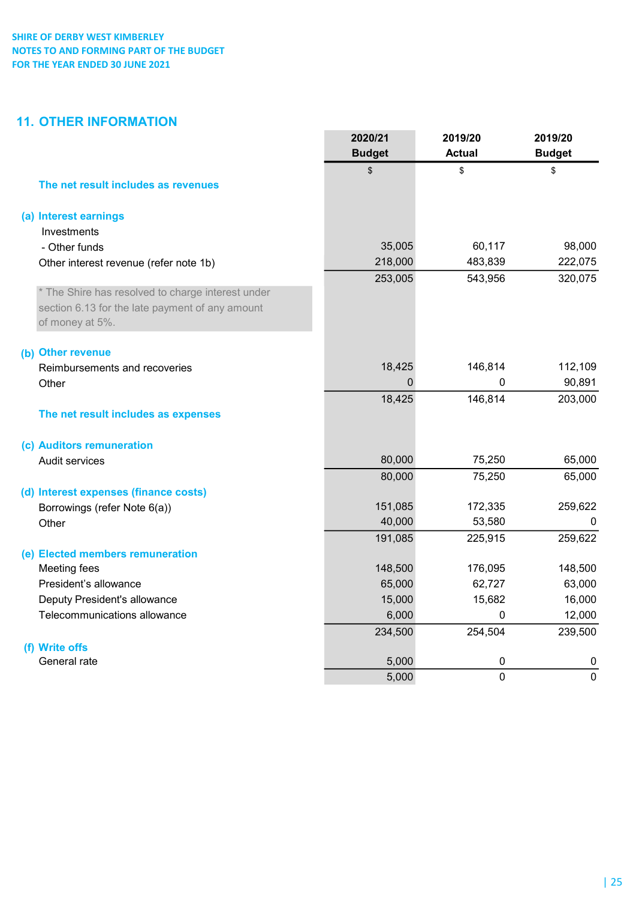# 11. OTHER INFORMATION

|                                                   | 2020/21        | 2019/20       | 2019/20             |
|---------------------------------------------------|----------------|---------------|---------------------|
|                                                   | <b>Budget</b>  | <b>Actual</b> | <b>Budget</b>       |
|                                                   | \$             | \$            | \$                  |
| The net result includes as revenues               |                |               |                     |
| (a) Interest earnings                             |                |               |                     |
| Investments                                       |                |               |                     |
| - Other funds                                     | 35,005         | 60,117        | 98,000              |
| Other interest revenue (refer note 1b)            | 218,000        | 483,839       | 222,075             |
|                                                   | 253,005        | 543,956       | 320,075             |
| * The Shire has resolved to charge interest under |                |               |                     |
| section 6.13 for the late payment of any amount   |                |               |                     |
| of money at 5%.                                   |                |               |                     |
| (b) Other revenue                                 |                |               |                     |
| Reimbursements and recoveries                     | 18,425         | 146,814       | 112,109             |
| Other                                             | $\mathbf 0$    | 0             | 90,891              |
|                                                   | 18,425         | 146,814       | 203,000             |
| The net result includes as expenses               |                |               |                     |
| (c) Auditors remuneration                         |                |               |                     |
| Audit services                                    | 80,000         | 75,250        | 65,000              |
|                                                   | 80,000         | 75,250        | 65,000              |
| (d) Interest expenses (finance costs)             |                |               |                     |
| Borrowings (refer Note 6(a))                      | 151,085        | 172,335       | 259,622             |
| Other                                             | 40,000         | 53,580        | 0                   |
|                                                   | 191,085        | 225,915       | 259,622             |
| (e) Elected members remuneration                  |                |               |                     |
| Meeting fees                                      | 148,500        | 176,095       | 148,500             |
| President's allowance                             | 65,000         | 62,727        | 63,000              |
| Deputy President's allowance                      | 15,000         | 15,682        | 16,000              |
| Telecommunications allowance                      | 6,000          | $\mathbf 0$   | 12,000              |
|                                                   | 234,500        | 254,504       | 239,500             |
| (f) Write offs                                    |                |               |                     |
| General rate                                      | 5,000<br>5,000 | 0<br>0        | 0<br>$\overline{0}$ |
|                                                   |                |               |                     |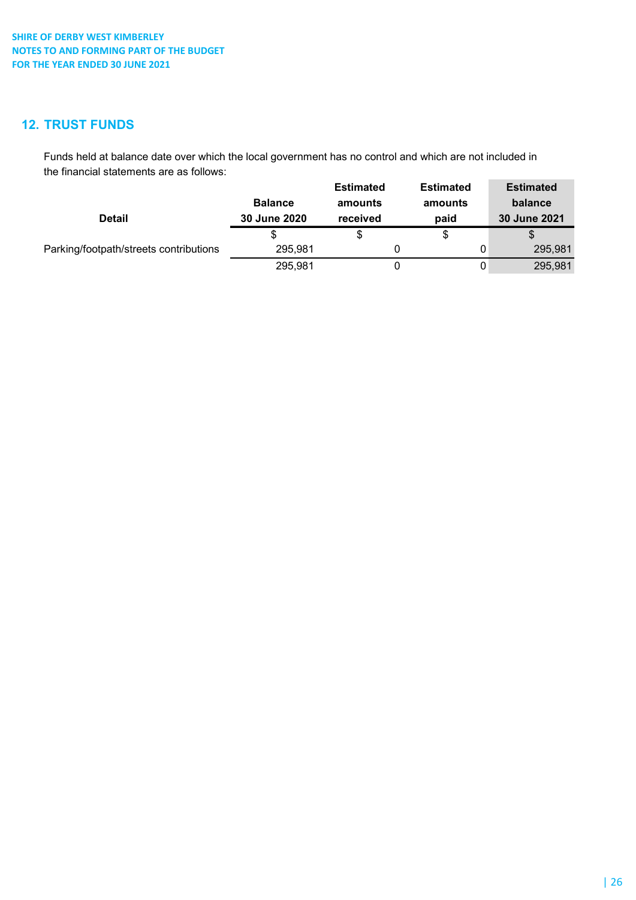# 12. TRUST FUNDS

Funds held at balance date over which the local government has no control and which are not included in the financial statements are as follows:

|                                        |                | <b>Estimated</b> | <b>Estimated</b> | <b>Estimated</b> |
|----------------------------------------|----------------|------------------|------------------|------------------|
|                                        | <b>Balance</b> | amounts          | amounts          | balance          |
| <b>Detail</b>                          | 30 June 2020   | received         | paid             | 30 June 2021     |
|                                        |                | \$               | \$               |                  |
| Parking/footpath/streets contributions | 295,981        |                  | 0                | 295,981          |
|                                        | 295,981        |                  | 0                | 295,981          |